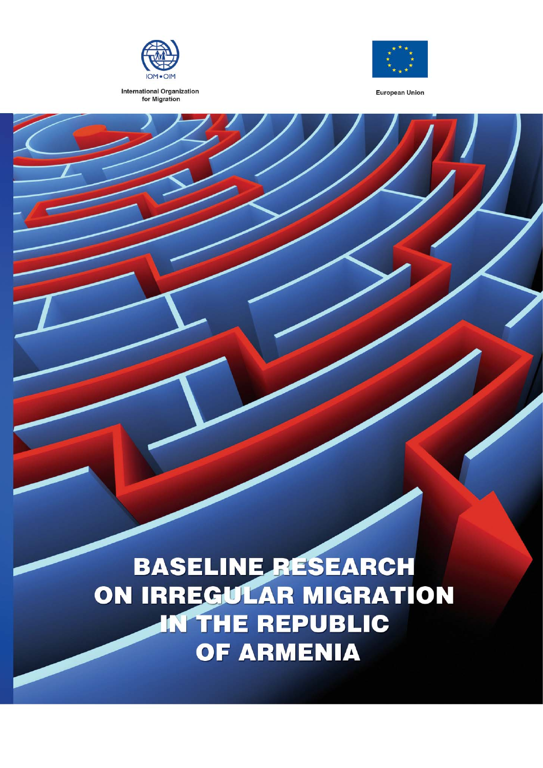

**International Organization** for Migration



**European Union** 

**BASELINE RESEARCH** ON IRREGULAR MIGRATION **IN THE REPUBLIC** OF ARMENIA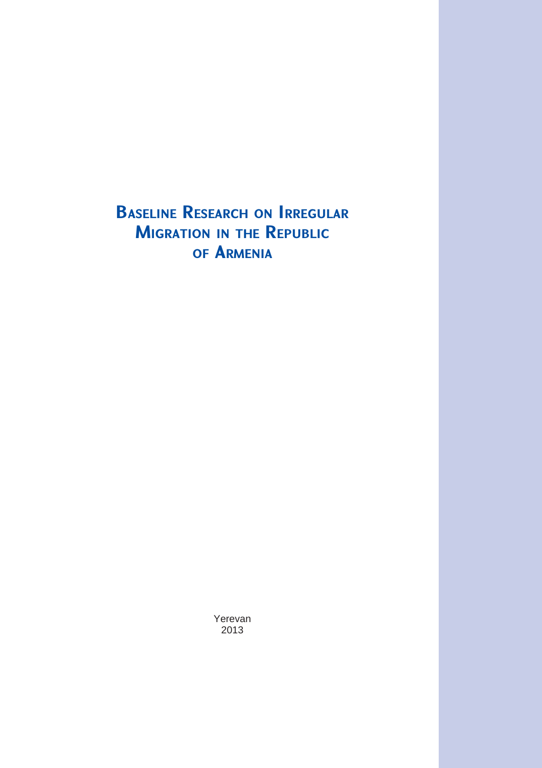**BASELINE RESEARCH ON IRREGULAR MIGRATION IN THE REPUBLIC OF ARMENIA**

> Yerevan 2013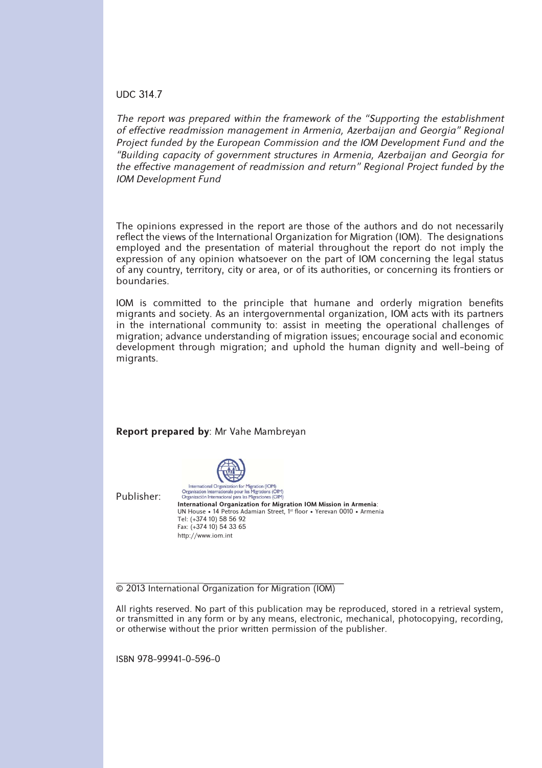#### UDC 314.7

*The report was prepared within the framework of the "Supporting the establishment of eff ective readmission management in Armenia, Azerbaijan and Georgia" Regional Project funded by the European Commission and the IOM Development Fund and the "Building capacity of government structures in Armenia, Azerbaijan and Georgia for the eff ective management of readmission and return" Regional Project funded by the IOM Development Fund*

The opinions expressed in the report are those of the authors and do not necessarily reflect the views of the International Organization for Migration (IOM). The designations employed and the presentation of material throughout the report do not imply the expression of any opinion whatsoever on the part of IOM concerning the legal status of any country, territory, city or area, or of its authorities, or concerning its frontiers or boundaries.

IOM is committed to the principle that humane and orderly migration benefits migrants and society. As an intergovernmental organization, IOM acts with its partners in the international community to: assist in meeting the operational challenges of migration; advance understanding of migration issues; encourage social and economic development through migration; and uphold the human dignity and well-being of migrants.



\_\_\_\_\_\_\_\_\_\_\_\_\_\_\_\_\_\_\_\_\_\_\_\_\_\_\_\_\_\_\_\_\_\_\_\_\_\_\_\_\_\_\_\_\_\_\_\_\_\_\_\_ © 2013 International Organization for Migration (IOM)

All rights reserved. No part of this publication may be reproduced, stored in a retrieval system, or transmitted in any form or by any means, electronic, mechanical, photocopying, recording, or otherwise without the prior written permission of the publisher.

ISBN 978-99941-0-596-0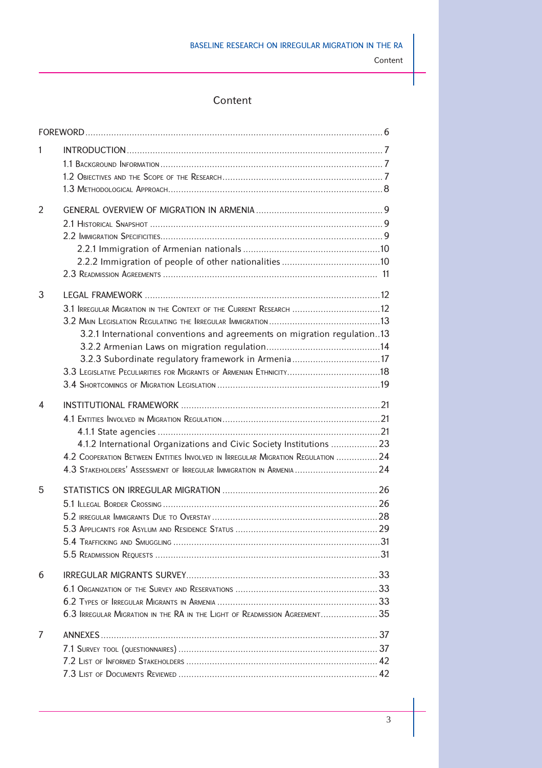# Content

| 1 |                                                                                 |  |
|---|---------------------------------------------------------------------------------|--|
|   |                                                                                 |  |
|   |                                                                                 |  |
|   |                                                                                 |  |
| 2 |                                                                                 |  |
|   |                                                                                 |  |
|   |                                                                                 |  |
|   |                                                                                 |  |
|   |                                                                                 |  |
|   |                                                                                 |  |
|   |                                                                                 |  |
| 3 |                                                                                 |  |
|   | 3.1 IRREGULAR MIGRATION IN THE CONTEXT OF THE CURRENT RESEARCH 12               |  |
|   |                                                                                 |  |
|   | 3.2.1 International conventions and agreements on migration regulation13        |  |
|   |                                                                                 |  |
|   | 3.2.3 Subordinate regulatory framework in Armenia 17                            |  |
|   |                                                                                 |  |
|   |                                                                                 |  |
| 4 |                                                                                 |  |
|   |                                                                                 |  |
|   |                                                                                 |  |
|   | 4.1.2 International Organizations and Civic Society Institutions  23            |  |
|   | 4.2 COOPERATION BETWEEN ENTITIES INVOLVED IN IRREGULAR MIGRATION REGULATION  24 |  |
|   | 4.3 STAKEHOLDERS' ASSESSMENT OF IRREGULAR IMMIGRATION IN ARMENIA  24            |  |
| 5 |                                                                                 |  |
|   |                                                                                 |  |
|   |                                                                                 |  |
|   |                                                                                 |  |
|   |                                                                                 |  |
|   |                                                                                 |  |
|   |                                                                                 |  |
| 6 |                                                                                 |  |
|   |                                                                                 |  |
|   |                                                                                 |  |
|   | 6.3 IRREGULAR MIGRATION IN THE RA IN THE LIGHT OF READMISSION AGREEMENT 35      |  |
| 7 |                                                                                 |  |
|   |                                                                                 |  |
|   |                                                                                 |  |
|   |                                                                                 |  |
|   |                                                                                 |  |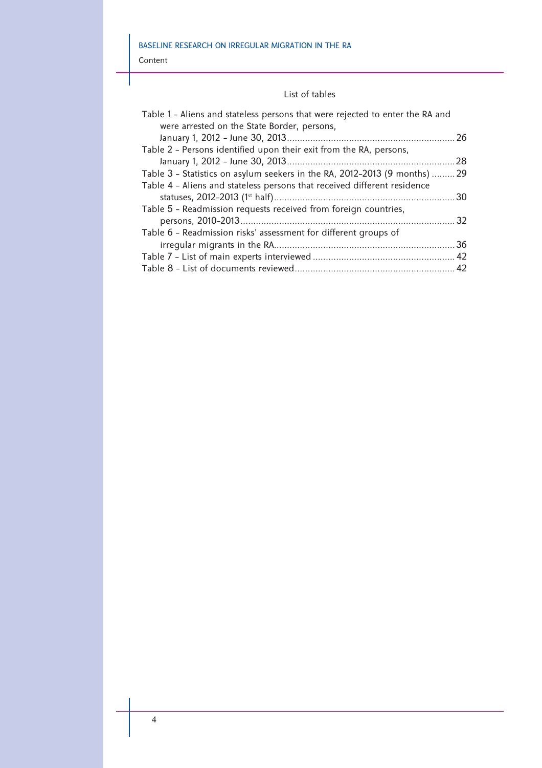Content

#### List of tables

| Table 1 - Aliens and stateless persons that were rejected to enter the RA and |  |
|-------------------------------------------------------------------------------|--|
| were arrested on the State Border, persons,                                   |  |
|                                                                               |  |
| Table 2 - Persons identified upon their exit from the RA, persons,            |  |
|                                                                               |  |
| Table 3 - Statistics on asylum seekers in the RA, 2012-2013 (9 months)  29    |  |
| Table 4 - Aliens and stateless persons that received different residence      |  |
|                                                                               |  |
| Table 5 - Readmission requests received from foreign countries,               |  |
|                                                                               |  |
| Table 6 - Readmission risks' assessment for different groups of               |  |
|                                                                               |  |
|                                                                               |  |
|                                                                               |  |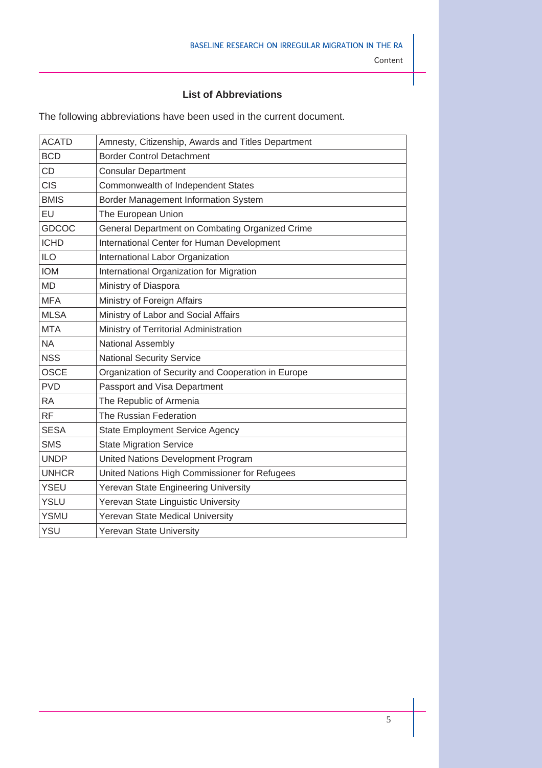# **List of Abbreviations**

The following abbreviations have been used in the current document.

| <b>ACATD</b> | Amnesty, Citizenship, Awards and Titles Department |
|--------------|----------------------------------------------------|
| <b>BCD</b>   | <b>Border Control Detachment</b>                   |
| <b>CD</b>    | <b>Consular Department</b>                         |
| <b>CIS</b>   | Commonwealth of Independent States                 |
| <b>BMIS</b>  | Border Management Information System               |
| EU           | The European Union                                 |
| <b>GDCOC</b> | General Department on Combating Organized Crime    |
| <b>ICHD</b>  | International Center for Human Development         |
| <b>ILO</b>   | International Labor Organization                   |
| <b>IOM</b>   | International Organization for Migration           |
| <b>MD</b>    | Ministry of Diaspora                               |
| <b>MFA</b>   | Ministry of Foreign Affairs                        |
| <b>MLSA</b>  | Ministry of Labor and Social Affairs               |
| <b>MTA</b>   | Ministry of Territorial Administration             |
| <b>NA</b>    | National Assembly                                  |
| <b>NSS</b>   | <b>National Security Service</b>                   |
| <b>OSCE</b>  | Organization of Security and Cooperation in Europe |
| <b>PVD</b>   | Passport and Visa Department                       |
| <b>RA</b>    | The Republic of Armenia                            |
| <b>RF</b>    | The Russian Federation                             |
| <b>SESA</b>  | <b>State Employment Service Agency</b>             |
| <b>SMS</b>   | <b>State Migration Service</b>                     |
| <b>UNDP</b>  | United Nations Development Program                 |
| <b>UNHCR</b> | United Nations High Commissioner for Refugees      |
| <b>YSEU</b>  | Yerevan State Engineering University               |
| <b>YSLU</b>  | Yerevan State Linguistic University                |
| <b>YSMU</b>  | Yerevan State Medical University                   |
| YSU          | Yerevan State University                           |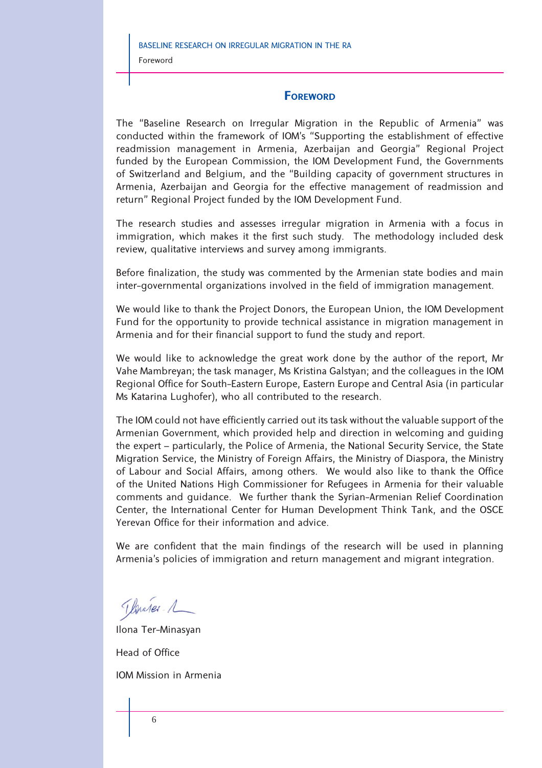# **FOREWORD**

The "Baseline Research on Irregular Migration in the Republic of Armenia" was conducted within the framework of IOM's "Supporting the establishment of effective readmission management in Armenia, Azerbaijan and Georgia" Regional Project funded by the European Commission, the IOM Development Fund, the Governments of Switzerland and Belgium, and the "Building capacity of government structures in Armenia, Azerbaijan and Georgia for the effective management of readmission and return" Regional Project funded by the IOM Development Fund.

The research studies and assesses irregular migration in Armenia with a focus in immigration, which makes it the first such study. The methodology included desk review, qualitative interviews and survey among immigrants.

Before finalization, the study was commented by the Armenian state bodies and main inter-governmental organizations involved in the field of immigration management.

We would like to thank the Project Donors, the European Union, the IOM Development Fund for the opportunity to provide technical assistance in migration management in Armenia and for their financial support to fund the study and report.

We would like to acknowledge the great work done by the author of the report, Mr Vahe Mambreyan; the task manager, Ms Kristina Galstyan; and the colleagues in the IOM Regional Office for South-Eastern Europe, Eastern Europe and Central Asia (in particular Ms Katarina Lughofer), who all contributed to the research.

The IOM could not have efficiently carried out its task without the valuable support of the Armenian Government, which provided help and direction in welcoming and guiding the expert – particularly, the Police of Armenia, the National Security Service, the State Migration Service, the Ministry of Foreign Affairs, the Ministry of Diaspora, the Ministry of Labour and Social Affairs, among others. We would also like to thank the Office of the United Nations High Commissioner for Refugees in Armenia for their valuable comments and guidance. We further thank the Syrian-Armenian Relief Coordination Center, the International Center for Human Development Think Tank, and the OSCE Yerevan Office for their information and advice.

We are confident that the main findings of the research will be used in planning Armenia's policies of immigration and return management and migrant integration.

Thomas 1

Ilona Ter-Minasyan

Head of Office

IOM Mission in Armenia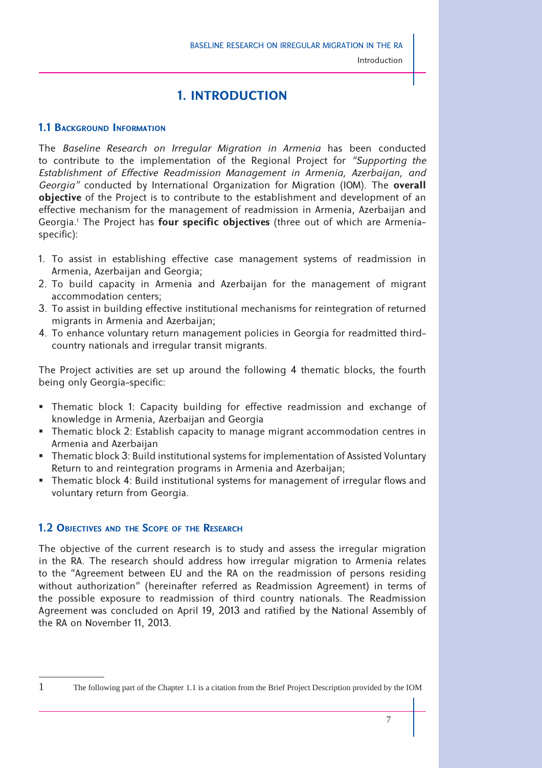# **1. INTRODUCTION**

# **1.1 BACKGROUND INFORMATION**

The *Baseline Research on Irregular Migration in Armenia* has been conducted to contribute to the implementation of the Regional Project for *"Supporting the*  Establishment of Effective Readmission Management in Armenia, Azerbaijan, and *Georgia"* conducted by International Organization for Migration (IOM). The **overall objective** of the Project is to contribute to the establishment and development of an effective mechanism for the management of readmission in Armenia, Azerbaijan and Georgia.<sup>1</sup> The Project has **four specific objectives** (three out of which are Armenia– specific):

- 1. To assist in establishing effective case management systems of readmission in Armenia, Azerbaijan and Georgia;
- 2. To build capacity in Armenia and Azerbaijan for the management of migrant accommodation centers;
- 3. To assist in building effective institutional mechanisms for reintegration of returned migrants in Armenia and Azerbaijan;
- 4. To enhance voluntary return management policies in Georgia for readmitted thirdcountry nationals and irregular transit migrants.

The Project activities are set up around the following 4 thematic blocks, the fourth being only Georgia-specific:

- Thematic block 1: Capacity building for effective readmission and exchange of knowledge in Armenia, Azerbaijan and Georgia
- Thematic block 2: Establish capacity to manage migrant accommodation centres in Armenia and Azerbaijan
- Thematic block 3: Build institutional systems for implementation of Assisted Voluntary Return to and reintegration programs in Armenia and Azerbaijan;
- Thematic block 4: Build institutional systems for management of irregular flows and voluntary return from Georgia.

# **1.2 OBJECTIVES AND THE SCOPE OF THE RESEARCH**

The objective of the current research is to study and assess the irregular migration in the RA. The research should address how irregular migration to Armenia relates to the "Agreement between EU and the RA on the readmission of persons residing without authorization" (hereinafter referred as Readmission Agreement) in terms of the possible exposure to readmission of third country nationals. The Readmission Agreement was concluded on April 19, 2013 and ratified by the National Assembly of the RA on November 11, 2013.

<sup>1</sup> The following part of the Chapter 1.1 is a citation from the Brief Project Description provided by the IOM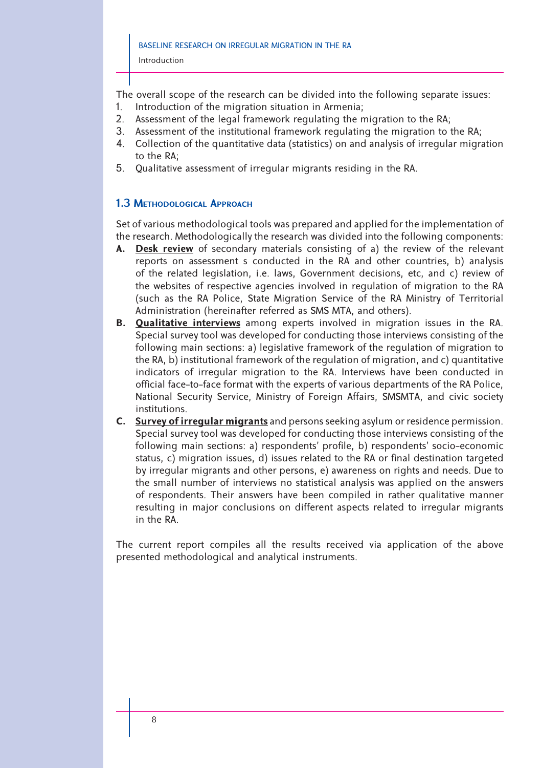The overall scope of the research can be divided into the following separate issues:

- 1. Introduction of the migration situation in Armenia;
- 2. Assessment of the legal framework regulating the migration to the RA;
- 3. Assessment of the institutional framework regulating the migration to the RA;
- 4. Collection of the quantitative data (statistics) on and analysis of irregular migration to the RA;
- 5. Qualitative assessment of irregular migrants residing in the RA.

# **1.3 METHODOLOGICAL APPROACH**

Set of various methodological tools was prepared and applied for the implementation of the research. Methodologically the research was divided into the following components:

- **A. Desk review** of secondary materials consisting of a) the review of the relevant reports on assessment s conducted in the RA and other countries, b) analysis of the related legislation, i.e. laws, Government decisions, etc, and c) review of the websites of respective agencies involved in regulation of migration to the RA (such as the RA Police, State Migration Service of the RA Ministry of Territorial Administration (hereinafter referred as SMS MTA, and others).
- **B. Qualitative interviews** among experts involved in migration issues in the RA. Special survey tool was developed for conducting those interviews consisting of the following main sections: a) legislative framework of the regulation of migration to the RA, b) institutional framework of the regulation of migration, and c) quantitative indicators of irregular migration to the RA. Interviews have been conducted in official face-to-face format with the experts of various departments of the RA Police, National Security Service, Ministry of Foreign Affairs, SMSMTA, and civic society institutions.
- **C. Survey of irregular migrants** and persons seeking asylum or residence permission. Special survey tool was developed for conducting those interviews consisting of the following main sections: a) respondents' profile, b) respondents' socio-economic status, c) migration issues, d) issues related to the RA or final destination targeted by irregular migrants and other persons, e) awareness on rights and needs. Due to the small number of interviews no statistical analysis was applied on the answers of respondents. Their answers have been compiled in rather qualitative manner resulting in major conclusions on different aspects related to irregular migrants in the RA.

The current report compiles all the results received via application of the above presented methodological and analytical instruments.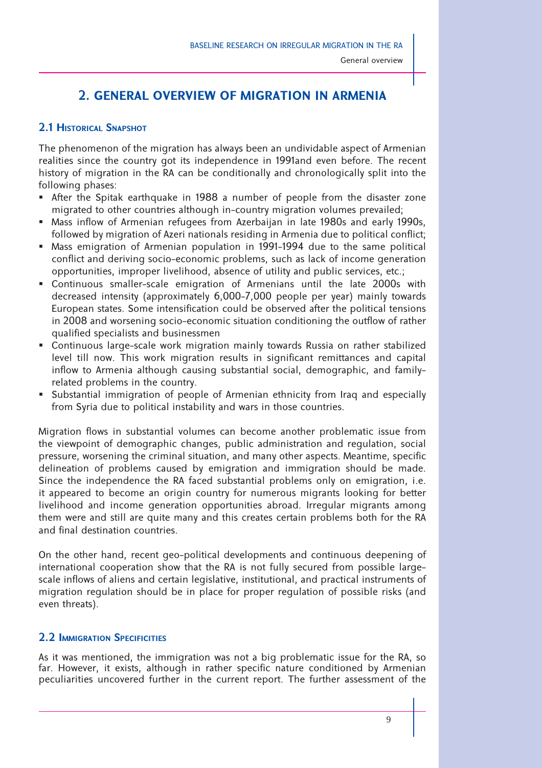General overview

# **2. GENERAL OVERVIEW OF MIGRATION IN ARMENIA**

# **2.1 HISTORICAL SNAPSHOT**

The phenomenon of the migration has always been an undividable aspect of Armenian realities since the country got its independence in 1991and even before. The recent history of migration in the RA can be conditionally and chronologically split into the following phases:

- After the Spitak earthquake in 1988 a number of people from the disaster zone migrated to other countries although in-country migration volumes prevailed;
- Mass inflow of Armenian refugees from Azerbaijan in late 1980s and early 1990s, followed by migration of Azeri nationals residing in Armenia due to political conflict;
- Mass emigration of Armenian population in 1991-1994 due to the same political conflict and deriving socio-economic problems, such as lack of income generation opportunities, improper livelihood, absence of utility and public services, etc.;
- Continuous smaller-scale emigration of Armenians until the late 2000s with decreased intensity (approximately 6,000-7,000 people per year) mainly towards European states. Some intensification could be observed after the political tensions in 2008 and worsening socio-economic situation conditioning the outflow of rather qualified specialists and businessmen
- Continuous large-scale work migration mainly towards Russia on rather stabilized level till now. This work migration results in significant remittances and capital inflow to Armenia although causing substantial social, demographic, and familyrelated problems in the country.
- Substantial immigration of people of Armenian ethnicity from Iraq and especially from Syria due to political instability and wars in those countries.

Migration flows in substantial volumes can become another problematic issue from the viewpoint of demographic changes, public administration and regulation, social pressure, worsening the criminal situation, and many other aspects. Meantime, specific delineation of problems caused by emigration and immigration should be made. Since the independence the RA faced substantial problems only on emigration, i.e. it appeared to become an origin country for numerous migrants looking for better livelihood and income generation opportunities abroad. Irregular migrants among them were and still are quite many and this creates certain problems both for the RA and final destination countries

On the other hand, recent geo-political developments and continuous deepening of international cooperation show that the RA is not fully secured from possible largescale inflows of aliens and certain legislative, institutional, and practical instruments of migration regulation should be in place for proper regulation of possible risks (and even threats).

# **2.2 IMMIGRATION SPECIFICITIES**

As it was mentioned, the immigration was not a big problematic issue for the RA, so far. However, it exists, although in rather specific nature conditioned by Armenian peculiarities uncovered further in the current report. The further assessment of the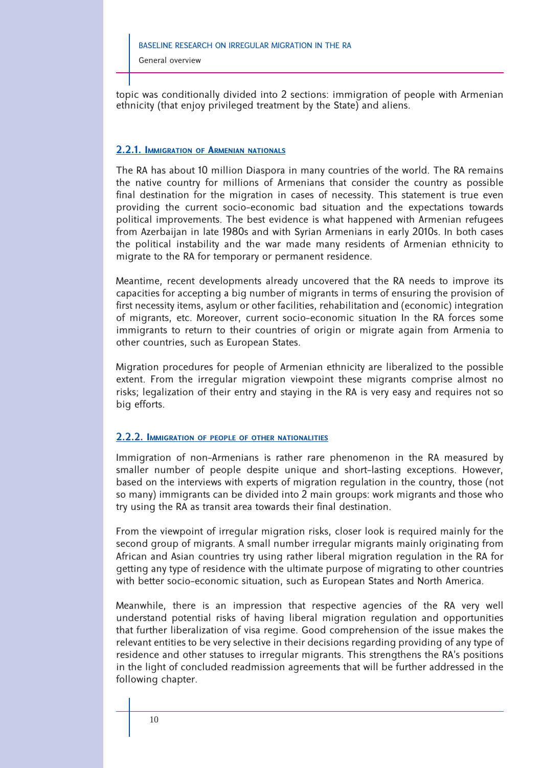General overview

topic was conditionally divided into 2 sections: immigration of people with Armenian ethnicity (that enjoy privileged treatment by the State) and aliens.

#### **2.2.1. IMMIGRATION OF ARMENIAN NATIONALS**

The RA has about 10 million Diaspora in many countries of the world. The RA remains the native country for millions of Armenians that consider the country as possible final destination for the migration in cases of necessity. This statement is true even providing the current socio-economic bad situation and the expectations towards political improvements. The best evidence is what happened with Armenian refugees from Azerbaijan in late 1980s and with Syrian Armenians in early 2010s. In both cases the political instability and the war made many residents of Armenian ethnicity to migrate to the RA for temporary or permanent residence.

Meantime, recent developments already uncovered that the RA needs to improve its capacities for accepting a big number of migrants in terms of ensuring the provision of first necessity items, asylum or other facilities, rehabilitation and (economic) integration of migrants, etc. Moreover, current socio-economic situation In the RA forces some immigrants to return to their countries of origin or migrate again from Armenia to other countries, such as European States.

Migration procedures for people of Armenian ethnicity are liberalized to the possible extent. From the irregular migration viewpoint these migrants comprise almost no risks; legalization of their entry and staying in the RA is very easy and requires not so big efforts.

#### **2.2.2. IMMIGRATION OF PEOPLE OF OTHER NATIONALITIES**

Immigration of non-Armenians is rather rare phenomenon in the RA measured by smaller number of people despite unique and short-lasting exceptions. However, based on the interviews with experts of migration regulation in the country, those (not so many) immigrants can be divided into 2 main groups: work migrants and those who try using the RA as transit area towards their final destination.

From the viewpoint of irregular migration risks, closer look is required mainly for the second group of migrants. A small number irregular migrants mainly originating from African and Asian countries try using rather liberal migration regulation in the RA for getting any type of residence with the ultimate purpose of migrating to other countries with better socio-economic situation, such as European States and North America.

Meanwhile, there is an impression that respective agencies of the RA very well understand potential risks of having liberal migration regulation and opportunities that further liberalization of visa regime. Good comprehension of the issue makes the relevant entities to be very selective in their decisions regarding providing of any type of residence and other statuses to irregular migrants. This strengthens the RA's positions in the light of concluded readmission agreements that will be further addressed in the following chapter.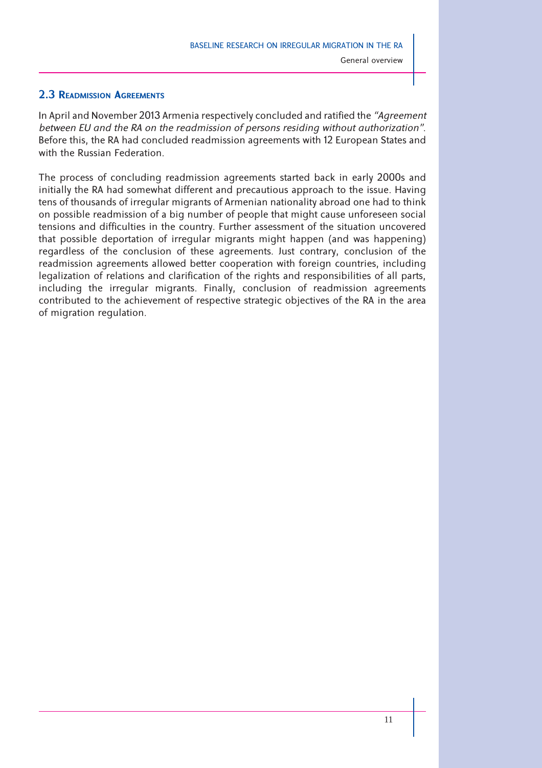# **2.3 READMISSION AGREEMENTS**

In April and November 2013 Armenia respectively concluded and ratified the "Agreement" *between EU and the RA on the readmission of persons residing without authorization"*. Before this, the RA had concluded readmission agreements with 12 European States and with the Russian Federation.

The process of concluding readmission agreements started back in early 2000s and initially the RA had somewhat different and precautious approach to the issue. Having tens of thousands of irregular migrants of Armenian nationality abroad one had to think on possible readmission of a big number of people that might cause unforeseen social tensions and difficulties in the country. Further assessment of the situation uncovered that possible deportation of irregular migrants might happen (and was happening) regardless of the conclusion of these agreements. Just contrary, conclusion of the readmission agreements allowed better cooperation with foreign countries, including legalization of relations and clarification of the rights and responsibilities of all parts, including the irregular migrants. Finally, conclusion of readmission agreements contributed to the achievement of respective strategic objectives of the RA in the area of migration regulation.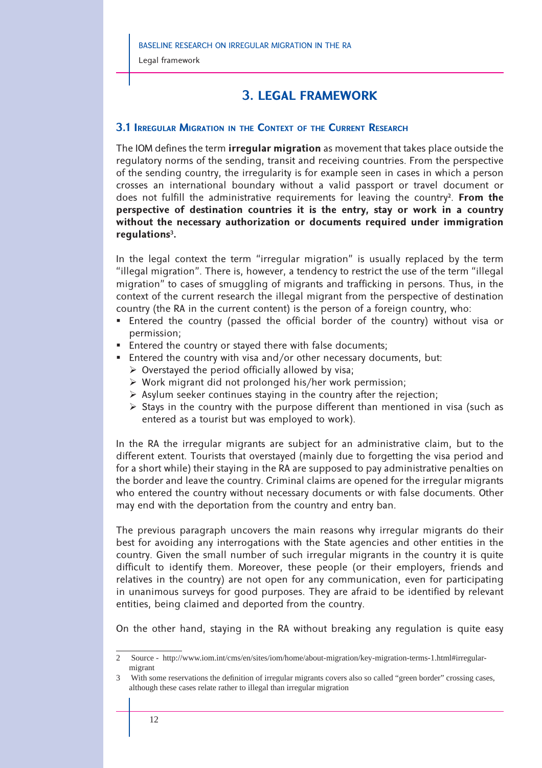# **3. LEGAL FRAMEWORK**

# **3.1 IRREGULAR MIGRATION IN THE CONTEXT OF THE CURRENT RESEARCH**

The IOM defines the term **irregular migration** as movement that takes place outside the regulatory norms of the sending, transit and receiving countries. From the perspective of the sending country, the irregularity is for example seen in cases in which a person crosses an international boundary without a valid passport or travel document or does not fulfill the administrative requirements for leaving the country<sup>2</sup>. From the **perspective of destination countries it is the entry, stay or work in a country without the necessary authorization or documents required under immigration regulations3.** 

In the legal context the term "irregular migration" is usually replaced by the term "illegal migration". There is, however, a tendency to restrict the use of the term "illegal migration" to cases of smuggling of migrants and trafficking in persons. Thus, in the context of the current research the illegal migrant from the perspective of destination country (the RA in the current content) is the person of a foreign country, who:

- **Entered the country (passed the official border of the country) without visa or** permission;
- **Entered the country or stayed there with false documents;**
- Entered the country with visa and/or other necessary documents, but:
	- $\triangleright$  Overstayed the period officially allowed by visa;
	- Work migrant did not prolonged his/her work permission;
	- $\triangleright$  Asylum seeker continues staying in the country after the rejection;
	- $\triangleright$  Stays in the country with the purpose different than mentioned in visa (such as entered as a tourist but was employed to work).

In the RA the irregular migrants are subject for an administrative claim, but to the different extent. Tourists that overstayed (mainly due to forgetting the visa period and for a short while) their staying in the RA are supposed to pay administrative penalties on the border and leave the country. Criminal claims are opened for the irregular migrants who entered the country without necessary documents or with false documents. Other may end with the deportation from the country and entry ban.

The previous paragraph uncovers the main reasons why irregular migrants do their best for avoiding any interrogations with the State agencies and other entities in the country. Given the small number of such irregular migrants in the country it is quite difficult to identify them. Moreover, these people (or their employers, friends and relatives in the country) are not open for any communication, even for participating in unanimous surveys for good purposes. They are afraid to be identified by relevant entities, being claimed and deported from the country.

On the other hand, staying in the RA without breaking any regulation is quite easy

<sup>2</sup> Source - http://www.iom.int/cms/en/sites/iom/home/about-migration/key-migration-terms-1.html#irregularmigrant

<sup>3</sup> With some reservations the definition of irregular migrants covers also so called "green border" crossing cases, although these cases relate rather to illegal than irregular migration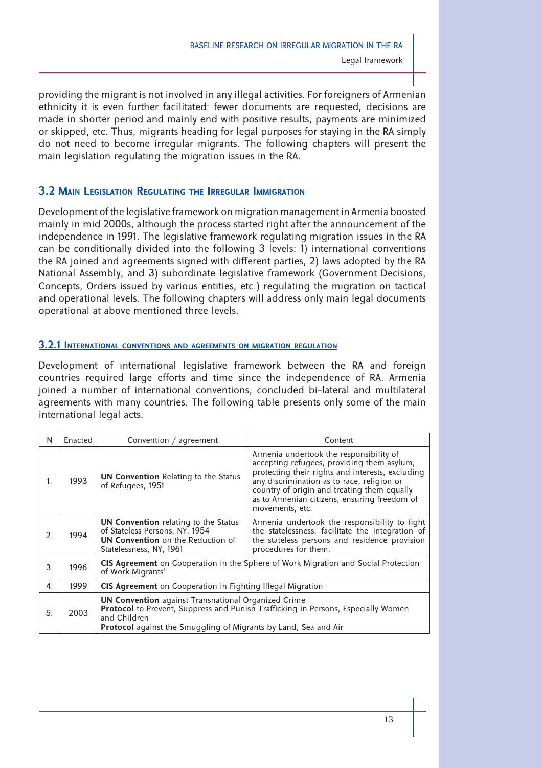providing the migrant is not involved in any illegal activities. For foreigners of Armenian ethnicity it is even further facilitated: fewer documents are requested, decisions are made in shorter period and mainly end with positive results, payments are minimized or skipped, etc. Thus, migrants heading for legal purposes for staying in the RA simply do not need to become irregular migrants. The following chapters will present the main legislation regulating the migration issues in the RA.

# **3.2 MAIN LEGISLATION REGULATING THE IRREGULAR IMMIGRATION**

Development of the legislative framework on migration management in Armenia boosted mainly in mid 2000s, although the process started right after the announcement of the independence in 1991. The legislative framework regulating migration issues in the RA can be conditionally divided into the following 3 levels: 1) international conventions the RA joined and agreements signed with different parties, 2) laws adopted by the RA National Assembly, and 3) subordinate legislative framework (Government Decisions, Concepts, Orders issued by various entities, etc.) regulating the migration on tactical and operational levels. The following chapters will address only main legal documents operational at above mentioned three levels.

#### **3.2.1 INTERNATIONAL CONVENTIONS AND AGREEMENTS ON MIGRATION REGULATION**

Development of international legislative framework between the RA and foreign countries required large efforts and time since the independence of RA. Armenia joined a number of international conventions, concluded bi-lateral and multilateral agreements with many countries. The following table presents only some of the main international legal acts.

| N  | Enacted | Convention / agreement                                                                                                                                                                                                                                                                                                             | Content                                                                                                                                                                                                                                                                                                   |  |
|----|---------|------------------------------------------------------------------------------------------------------------------------------------------------------------------------------------------------------------------------------------------------------------------------------------------------------------------------------------|-----------------------------------------------------------------------------------------------------------------------------------------------------------------------------------------------------------------------------------------------------------------------------------------------------------|--|
| 1. | 1993    | <b>UN Convention Relating to the Status</b><br>of Refugees, 1951                                                                                                                                                                                                                                                                   | Armenia undertook the responsibility of<br>accepting refugees, providing them asylum,<br>protecting their rights and interests, excluding<br>any discrimination as to race, religion or<br>country of origin and treating them equally<br>as to Armenian citizens, ensuring freedom of<br>movements, etc. |  |
| 2. | 1994    | <b>UN Convention</b> relating to the Status<br>Armenia undertook the responsibility to fight<br>of Stateless Persons, NY, 1954<br>the statelessness, facilitate the integration of<br><b>UN Convention</b> on the Reduction of<br>the stateless persons and residence provision<br>procedures for them.<br>Statelessness, NY, 1961 |                                                                                                                                                                                                                                                                                                           |  |
| 3. | 1996    | <b>CIS Agreement</b> on Cooperation in the Sphere of Work Migration and Social Protection<br>of Work Migrants'                                                                                                                                                                                                                     |                                                                                                                                                                                                                                                                                                           |  |
| 4. | 1999    | <b>CIS Agreement</b> on Cooperation in Fighting Illegal Migration                                                                                                                                                                                                                                                                  |                                                                                                                                                                                                                                                                                                           |  |
| 5. | 2003    | <b>UN Convention</b> against Transnational Organized Crime<br>and Children<br>Protocol against the Smuggling of Migrants by Land, Sea and Air                                                                                                                                                                                      | Protocol to Prevent, Suppress and Punish Trafficking in Persons, Especially Women                                                                                                                                                                                                                         |  |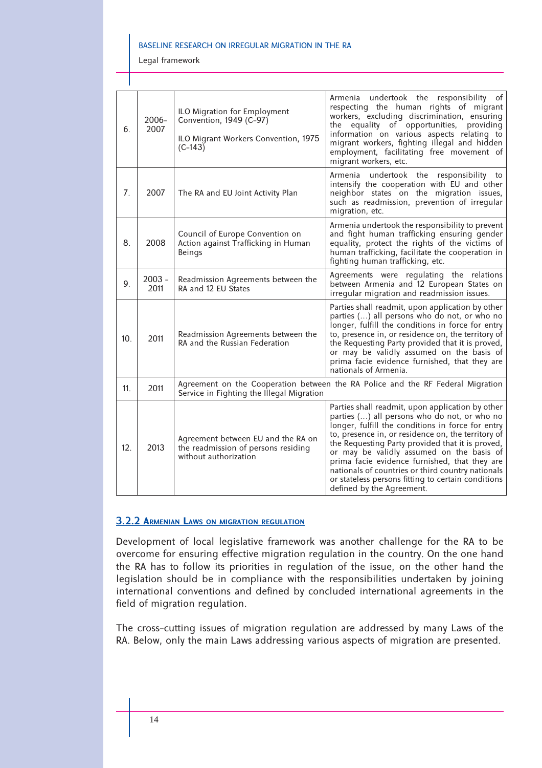Legal framework

| 6.              | $2006 -$<br>2007 | ILO Migration for Employment<br>Convention, 1949 (C-97)<br>ILO Migrant Workers Convention, 1975<br>$(C-143)$                 | Armenia undertook the responsibility of<br>respecting the human rights of migrant<br>workers, excluding discrimination, ensuring<br>the equality of opportunities, providing<br>information on various aspects relating to<br>migrant workers, fighting illegal and hidden<br>employment, facilitating free movement of<br>migrant workers, etc.                                                                                                                                                      |  |
|-----------------|------------------|------------------------------------------------------------------------------------------------------------------------------|-------------------------------------------------------------------------------------------------------------------------------------------------------------------------------------------------------------------------------------------------------------------------------------------------------------------------------------------------------------------------------------------------------------------------------------------------------------------------------------------------------|--|
| 7.              | 2007             | The RA and EU Joint Activity Plan                                                                                            | undertook the responsibility to<br>Armenia<br>intensify the cooperation with EU and other<br>neighbor states on the migration issues,<br>such as readmission, prevention of irregular<br>migration, etc.                                                                                                                                                                                                                                                                                              |  |
| 8.              | 2008             | Council of Europe Convention on<br>Action against Trafficking in Human<br>Beings                                             | Armenia undertook the responsibility to prevent<br>and fight human trafficking ensuring gender<br>equality, protect the rights of the victims of<br>human trafficking, facilitate the cooperation in<br>fighting human trafficking, etc.                                                                                                                                                                                                                                                              |  |
| 9 <sub>1</sub>  | $2003 -$<br>2011 | Readmission Agreements between the<br>RA and 12 EU States                                                                    | Agreements were regulating the relations<br>between Armenia and 12 European States on<br>irregular migration and readmission issues.                                                                                                                                                                                                                                                                                                                                                                  |  |
| 10 <sub>1</sub> | 2011             | Readmission Agreements between the<br>RA and the Russian Federation                                                          | Parties shall readmit, upon application by other<br>parties () all persons who do not, or who no<br>longer, fulfill the conditions in force for entry<br>to, presence in, or residence on, the territory of<br>the Requesting Party provided that it is proved,<br>or may be validly assumed on the basis of<br>prima facie evidence furnished, that they are<br>nationals of Armenia.                                                                                                                |  |
| 11.             | 2011             | Agreement on the Cooperation between the RA Police and the RF Federal Migration<br>Service in Fighting the Illegal Migration |                                                                                                                                                                                                                                                                                                                                                                                                                                                                                                       |  |
| 12.             | 2013             | Agreement between EU and the RA on<br>the readmission of persons residing<br>without authorization                           | Parties shall readmit, upon application by other<br>parties () all persons who do not, or who no<br>longer, fulfill the conditions in force for entry<br>to, presence in, or residence on, the territory of<br>the Requesting Party provided that it is proved,<br>or may be validly assumed on the basis of<br>prima facie evidence furnished, that they are<br>nationals of countries or third country nationals<br>or stateless persons fitting to certain conditions<br>defined by the Agreement. |  |

# **3.2.2 ARMENIAN LAWS ON MIGRATION REGULATION**

Development of local legislative framework was another challenge for the RA to be overcome for ensuring effective migration regulation in the country. On the one hand the RA has to follow its priorities in regulation of the issue, on the other hand the legislation should be in compliance with the responsibilities undertaken by joining international conventions and defined by concluded international agreements in the field of migration regulation.

The cross-cutting issues of migration regulation are addressed by many Laws of the RA. Below, only the main Laws addressing various aspects of migration are presented.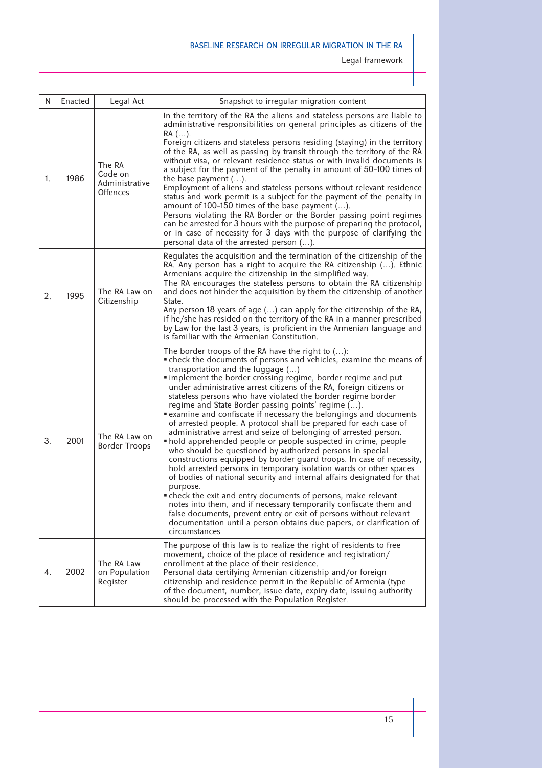Legal framework

| N  | Enacted | Legal Act                                       | Snapshot to irregular migration content                                                                                                                                                                                                                                                                                                                                                                                                                                                                                                                                                                                                                                                                                                                                                                                                                                                                                                                                                                                                                                                                                                                                                                                                                                                                                 |
|----|---------|-------------------------------------------------|-------------------------------------------------------------------------------------------------------------------------------------------------------------------------------------------------------------------------------------------------------------------------------------------------------------------------------------------------------------------------------------------------------------------------------------------------------------------------------------------------------------------------------------------------------------------------------------------------------------------------------------------------------------------------------------------------------------------------------------------------------------------------------------------------------------------------------------------------------------------------------------------------------------------------------------------------------------------------------------------------------------------------------------------------------------------------------------------------------------------------------------------------------------------------------------------------------------------------------------------------------------------------------------------------------------------------|
| 1. | 1986    | The RA<br>Code on<br>Administrative<br>Offences | In the territory of the RA the aliens and stateless persons are liable to<br>administrative responsibilities on general principles as citizens of the<br>$RA$ ().<br>Foreign citizens and stateless persons residing (staying) in the territory<br>of the RA, as well as passing by transit through the territory of the RA<br>without visa, or relevant residence status or with invalid documents is<br>a subject for the payment of the penalty in amount of 50-100 times of<br>the base payment $()$ .<br>Employment of aliens and stateless persons without relevant residence<br>status and work permit is a subject for the payment of the penalty in<br>amount of 100-150 times of the base payment ().<br>Persons violating the RA Border or the Border passing point regimes<br>can be arrested for 3 hours with the purpose of preparing the protocol,<br>or in case of necessity for 3 days with the purpose of clarifying the<br>personal data of the arrested person ().                                                                                                                                                                                                                                                                                                                                  |
| 2. | 1995    | The RA Law on<br>Citizenship                    | Regulates the acquisition and the termination of the citizenship of the<br>RA. Any person has a right to acquire the RA citizenship (). Ethnic<br>Armenians acquire the citizenship in the simplified way.<br>The RA encourages the stateless persons to obtain the RA citizenship<br>and does not hinder the acquisition by them the citizenship of another<br>State.<br>Any person 18 years of age () can apply for the citizenship of the RA,<br>if he/she has resided on the territory of the RA in a manner prescribed<br>by Law for the last 3 years, is proficient in the Armenian language and<br>is familiar with the Armenian Constitution.                                                                                                                                                                                                                                                                                                                                                                                                                                                                                                                                                                                                                                                                   |
| 3. | 2001    | The RA Law on<br><b>Border Troops</b>           | The border troops of the RA have the right to $()$ :<br>• check the documents of persons and vehicles, examine the means of<br>transportation and the luggage ()<br>" implement the border crossing regime, border regime and put<br>under administrative arrest citizens of the RA, foreign citizens or<br>stateless persons who have violated the border regime border<br>regime and State Border passing points' regime ().<br>" examine and confiscate if necessary the belongings and documents<br>of arrested people. A protocol shall be prepared for each case of<br>administrative arrest and seize of belonging of arrested person.<br>• hold apprehended people or people suspected in crime, people<br>who should be questioned by authorized persons in special<br>constructions equipped by border guard troops. In case of necessity,<br>hold arrested persons in temporary isolation wards or other spaces<br>of bodies of national security and internal affairs designated for that<br>purpose.<br>• check the exit and entry documents of persons, make relevant<br>notes into them, and if necessary temporarily confiscate them and<br>false documents, prevent entry or exit of persons without relevant<br>documentation until a person obtains due papers, or clarification of<br>circumstances |
| 4. | 2002    | The RA Law<br>on Population<br>Register         | The purpose of this law is to realize the right of residents to free<br>movement, choice of the place of residence and registration/<br>enrollment at the place of their residence.<br>Personal data certifying Armenian citizenship and/or foreign<br>citizenship and residence permit in the Republic of Armenia (type<br>of the document, number, issue date, expiry date, issuing authority<br>should be processed with the Population Register.                                                                                                                                                                                                                                                                                                                                                                                                                                                                                                                                                                                                                                                                                                                                                                                                                                                                    |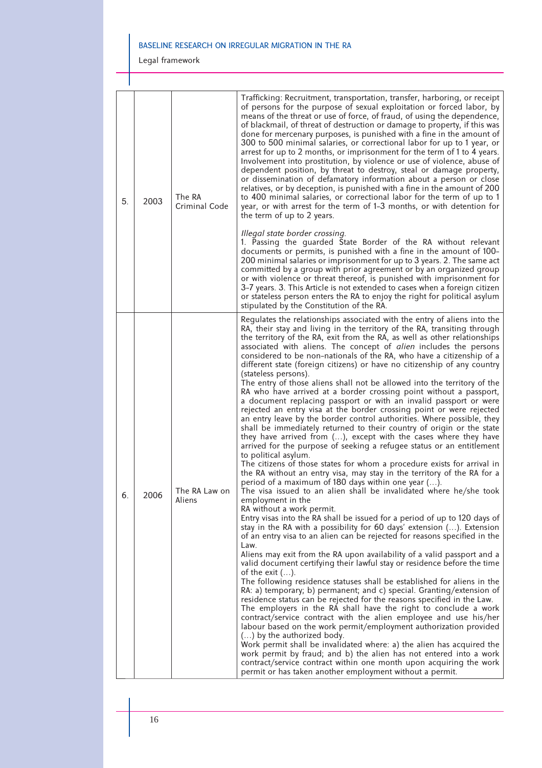Legal framework

| 5. | 2003 | The RA<br>Criminal Code | Trafficking: Recruitment, transportation, transfer, harboring, or receipt<br>of persons for the purpose of sexual exploitation or forced labor, by<br>means of the threat or use of force, of fraud, of using the dependence,<br>of blackmail, of threat of destruction or damage to property, if this was<br>done for mercenary purposes, is punished with a fine in the amount of<br>300 to 500 minimal salaries, or correctional labor for up to 1 year, or<br>arrest for up to 2 months, or imprisonment for the term of 1 to 4 years.<br>Involvement into prostitution, by violence or use of violence, abuse of<br>dependent position, by threat to destroy, steal or damage property,<br>or dissemination of defamatory information about a person or close<br>relatives, or by deception, is punished with a fine in the amount of 200<br>to 400 minimal salaries, or correctional labor for the term of up to 1<br>year, or with arrest for the term of 1-3 months, or with detention for<br>the term of up to 2 years.                                                                                                                                                                                                                                                                                                                                                                                                                                                                                                                                                                                                                                                                                                                                                                                                                                                                                                                                                                                                                                                                                                                                                                                                                                                                                                                                                                                                                                                                                                                                                                                                          |
|----|------|-------------------------|-------------------------------------------------------------------------------------------------------------------------------------------------------------------------------------------------------------------------------------------------------------------------------------------------------------------------------------------------------------------------------------------------------------------------------------------------------------------------------------------------------------------------------------------------------------------------------------------------------------------------------------------------------------------------------------------------------------------------------------------------------------------------------------------------------------------------------------------------------------------------------------------------------------------------------------------------------------------------------------------------------------------------------------------------------------------------------------------------------------------------------------------------------------------------------------------------------------------------------------------------------------------------------------------------------------------------------------------------------------------------------------------------------------------------------------------------------------------------------------------------------------------------------------------------------------------------------------------------------------------------------------------------------------------------------------------------------------------------------------------------------------------------------------------------------------------------------------------------------------------------------------------------------------------------------------------------------------------------------------------------------------------------------------------------------------------------------------------------------------------------------------------------------------------------------------------------------------------------------------------------------------------------------------------------------------------------------------------------------------------------------------------------------------------------------------------------------------------------------------------------------------------------------------------------------------------------------------------------------------------------------------------|
|    |      |                         | Illegal state border crossing.<br>1. Passing the guarded State Border of the RA without relevant<br>documents or permits, is punished with a fine in the amount of 100-<br>200 minimal salaries or imprisonment for up to 3 years. 2. The same act<br>committed by a group with prior agreement or by an organized group<br>or with violence or threat thereof, is punished with imprisonment for<br>3-7 years. 3. This Article is not extended to cases when a foreign citizen<br>or stateless person enters the RA to enjoy the right for political asylum<br>stipulated by the Constitution of the RA.                                                                                                                                                                                                                                                                                                                                                                                                                                                                                                                                                                                                                                                                                                                                                                                                                                                                                                                                                                                                                                                                                                                                                                                                                                                                                                                                                                                                                                                                                                                                                                                                                                                                                                                                                                                                                                                                                                                                                                                                                                 |
| 6. | 2006 | The RA Law on<br>Aliens | Regulates the relationships associated with the entry of aliens into the<br>RA, their stay and living in the territory of the RA, transiting through<br>the territory of the RA, exit from the RA, as well as other relationships<br>associated with aliens. The concept of <i>alien</i> includes the persons<br>considered to be non-nationals of the RA, who have a citizenship of a<br>different state (foreign citizens) or have no citizenship of any country<br>(stateless persons).<br>The entry of those aliens shall not be allowed into the territory of the<br>RA who have arrived at a border crossing point without a passport,<br>a document replacing passport or with an invalid passport or were<br>rejected an entry visa at the border crossing point or were rejected<br>an entry leave by the border control authorities. Where possible, they<br>shall be immediately returned to their country of origin or the state<br>they have arrived from (), except with the cases where they have<br>arrived for the purpose of seeking a refugee status or an entitlement<br>to political asylum.<br>The citizens of those states for whom a procedure exists for arrival in<br>the RA without an entry visa, may stay in the territory of the RA for a<br>period of a maximum of 180 days within one year ().<br>The visa issued to an alien shall be invalidated where he/she took<br>employment in the<br>RA without a work permit.<br>Entry visas into the RA shall be issued for a period of up to 120 days of<br>stay in the RA with a possibility for 60 days' extension (). Extension<br>of an entry visa to an alien can be rejected for reasons specified in the<br>Law.<br>Aliens may exit from the RA upon availability of a valid passport and a<br>valid document certifying their lawful stay or residence before the time<br>of the exit $()$ .<br>The following residence statuses shall be established for aliens in the<br>RA: a) temporary; b) permanent; and c) special. Granting/extension of<br>residence status can be rejected for the reasons specified in the Law.<br>The employers in the RA shall have the right to conclude a work<br>contract/service contract with the alien employee and use his/her<br>labour based on the work permit/employment authorization provided<br>() by the authorized body.<br>Work permit shall be invalidated where: a) the alien has acquired the<br>work permit by fraud; and b) the alien has not entered into a work<br>contract/service contract within one month upon acquiring the work<br>permit or has taken another employment without a permit. |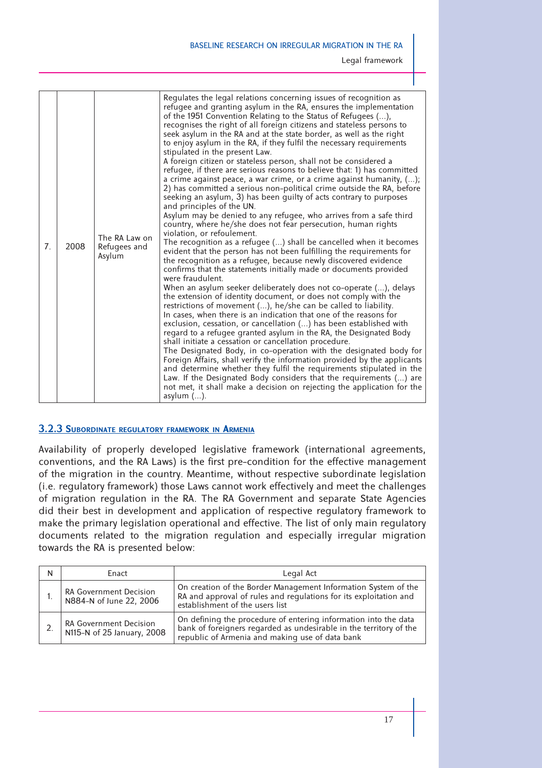| 7. | 2008 | The RA Law on<br>Refugees and<br>Asylum | Regulates the legal relations concerning issues of recognition as<br>refugee and granting asylum in the RA, ensures the implementation<br>of the 1951 Convention Relating to the Status of Refugees (),<br>recognises the right of all foreign citizens and stateless persons to<br>seek asylum in the RA and at the state border, as well as the right<br>to enjoy asylum in the RA, if they fulfil the necessary requirements<br>stipulated in the present Law.<br>A foreign citizen or stateless person, shall not be considered a<br>refugee, if there are serious reasons to believe that: 1) has committed<br>a crime against peace, a war crime, or a crime against humanity, ();<br>2) has committed a serious non-political crime outside the RA, before<br>seeking an asylum, 3) has been guilty of acts contrary to purposes<br>and principles of the UN.<br>Asylum may be denied to any refugee, who arrives from a safe third<br>country, where he/she does not fear persecution, human rights<br>violation, or refoulement.<br>The recognition as a refugee () shall be cancelled when it becomes<br>evident that the person has not been fulfilling the requirements for<br>the recognition as a refugee, because newly discovered evidence<br>confirms that the statements initially made or documents provided<br>were fraudulent.<br>When an asylum seeker deliberately does not co-operate (), delays<br>the extension of identity document, or does not comply with the<br>restrictions of movement (), he/she can be called to liability.<br>In cases, when there is an indication that one of the reasons for<br>exclusion, cessation, or cancellation () has been established with<br>regard to a refugee granted asylum in the RA, the Designated Body<br>shall initiate a cessation or cancellation procedure.<br>The Designated Body, in co-operation with the designated body for<br>Foreign Affairs, shall verify the information provided by the applicants<br>and determine whether they fulfil the requirements stipulated in the<br>Law. If the Designated Body considers that the requirements () are<br>not met, it shall make a decision on rejecting the application for the<br>asylum $()$ . |
|----|------|-----------------------------------------|-----------------------------------------------------------------------------------------------------------------------------------------------------------------------------------------------------------------------------------------------------------------------------------------------------------------------------------------------------------------------------------------------------------------------------------------------------------------------------------------------------------------------------------------------------------------------------------------------------------------------------------------------------------------------------------------------------------------------------------------------------------------------------------------------------------------------------------------------------------------------------------------------------------------------------------------------------------------------------------------------------------------------------------------------------------------------------------------------------------------------------------------------------------------------------------------------------------------------------------------------------------------------------------------------------------------------------------------------------------------------------------------------------------------------------------------------------------------------------------------------------------------------------------------------------------------------------------------------------------------------------------------------------------------------------------------------------------------------------------------------------------------------------------------------------------------------------------------------------------------------------------------------------------------------------------------------------------------------------------------------------------------------------------------------------------------------------------------------------------------------------------------------------------------------------------------------------------------------------------|

# **3.2.3 SUBORDINATE REGULATORY FRAMEWORK IN ARMENIA**

Availability of properly developed legislative framework (international agreements, conventions, and the RA Laws) is the first pre-condition for the effective management of the migration in the country. Meantime, without respective subordinate legislation (i.e. regulatory framework) those Laws cannot work effectively and meet the challenges of migration regulation in the RA. The RA Government and separate State Agencies did their best in development and application of respective regulatory framework to make the primary legislation operational and effective. The list of only main regulatory documents related to the migration regulation and especially irregular migration towards the RA is presented below:

| N | Enact                                                       | Legal Act                                                                                                                                                                                |
|---|-------------------------------------------------------------|------------------------------------------------------------------------------------------------------------------------------------------------------------------------------------------|
|   | <b>RA Government Decision</b><br>N884-N of June 22, 2006    | On creation of the Border Management Information System of the<br>RA and approval of rules and regulations for its exploitation and<br>establishment of the users list                   |
|   | <b>RA Government Decision</b><br>N115-N of 25 January, 2008 | On defining the procedure of entering information into the data<br>bank of foreigners regarded as undesirable in the territory of the<br>republic of Armenia and making use of data bank |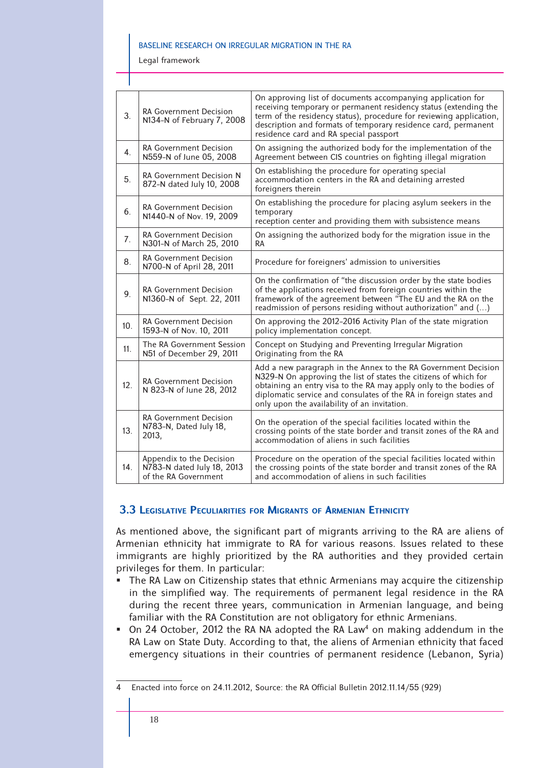Legal framework

| 3.  | RA Government Decision<br>N134-N of February 7, 2008                           | On approving list of documents accompanying application for<br>receiving temporary or permanent residency status (extending the<br>term of the residency status), procedure for reviewing application,<br>description and formats of temporary residence card, permanent<br>residence card and RA special passport           |
|-----|--------------------------------------------------------------------------------|------------------------------------------------------------------------------------------------------------------------------------------------------------------------------------------------------------------------------------------------------------------------------------------------------------------------------|
| 4.  | <b>RA Government Decision</b><br>N559-N of June 05, 2008                       | On assigning the authorized body for the implementation of the<br>Agreement between CIS countries on fighting illegal migration                                                                                                                                                                                              |
| 5.  | RA Government Decision N<br>872-N dated July 10, 2008                          | On establishing the procedure for operating special<br>accommodation centers in the RA and detaining arrested<br>foreigners therein                                                                                                                                                                                          |
| 6.  | <b>RA Government Decision</b><br>N1440-N of Nov. 19, 2009                      | On establishing the procedure for placing asylum seekers in the<br>temporary<br>reception center and providing them with subsistence means                                                                                                                                                                                   |
| 7.  | <b>RA Government Decision</b><br>N301-N of March 25, 2010                      | On assigning the authorized body for the migration issue in the<br>RA                                                                                                                                                                                                                                                        |
| 8.  | <b>RA Government Decision</b><br>N700-N of April 28, 2011                      | Procedure for foreigners' admission to universities                                                                                                                                                                                                                                                                          |
| 9.  | <b>RA Government Decision</b><br>N1360-N of Sept. 22, 2011                     | On the confirmation of "the discussion order by the state bodies<br>of the applications received from foreign countries within the<br>framework of the agreement between "The EU and the RA on the<br>readmission of persons residing without authorization" and ()                                                          |
| 10. | <b>RA Government Decision</b><br>1593-N of Nov. 10, 2011                       | On approving the 2012-2016 Activity Plan of the state migration<br>policy implementation concept.                                                                                                                                                                                                                            |
| 11. | The RA Government Session<br>N51 of December 29, 2011                          | Concept on Studying and Preventing Irregular Migration<br>Originating from the RA                                                                                                                                                                                                                                            |
| 12. | <b>RA Government Decision</b><br>N 823-N of June 28, 2012                      | Add a new paragraph in the Annex to the RA Government Decision<br>N329-N On approving the list of states the citizens of which for<br>obtaining an entry visa to the RA may apply only to the bodies of<br>diplomatic service and consulates of the RA in foreign states and<br>only upon the availability of an invitation. |
| 13. | RA Government Decision<br>N783-N, Dated July 18,<br>2013,                      | On the operation of the special facilities located within the<br>crossing points of the state border and transit zones of the RA and<br>accommodation of aliens in such facilities                                                                                                                                           |
| 14. | Appendix to the Decision<br>N783-N dated July 18, 2013<br>of the RA Government | Procedure on the operation of the special facilities located within<br>the crossing points of the state border and transit zones of the RA<br>and accommodation of aliens in such facilities                                                                                                                                 |

# **3.3 LEGISLATIVE PECULIARITIES FOR MIGRANTS OF ARMENIAN ETHNICITY**

As mentioned above, the significant part of migrants arriving to the RA are aliens of Armenian ethnicity hat immigrate to RA for various reasons. Issues related to these immigrants are highly prioritized by the RA authorities and they provided certain privileges for them. In particular:

- The RA Law on Citizenship states that ethnic Armenians may acquire the citizenship in the simplified way. The requirements of permanent legal residence in the RA during the recent three years, communication in Armenian language, and being familiar with the RA Constitution are not obligatory for ethnic Armenians.
- On 24 October, 2012 the RA NA adopted the RA Law<sup>4</sup> on making addendum in the RA Law on State Duty. According to that, the aliens of Armenian ethnicity that faced emergency situations in their countries of permanent residence (Lebanon, Syria)

<sup>4</sup> Enacted into force on 24.11.2012, Source: the RA Official Bulletin 2012.11.14/55 (929)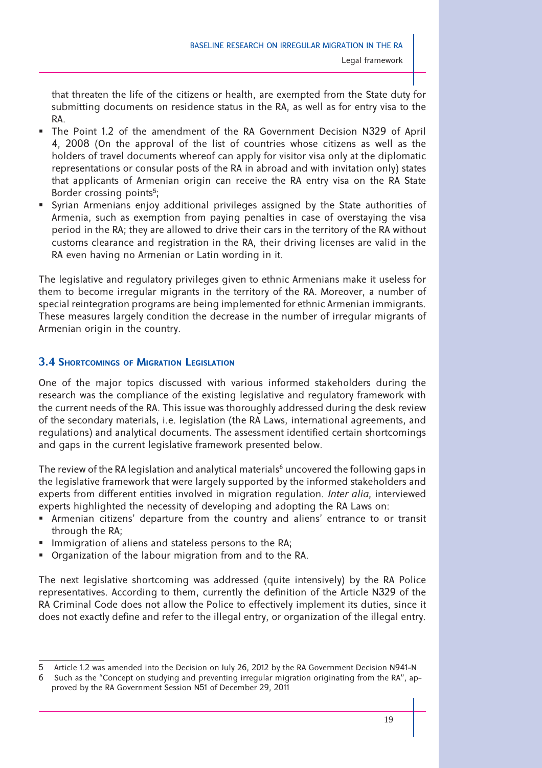that threaten the life of the citizens or health, are exempted from the State duty for submitting documents on residence status in the RA, as well as for entry visa to the RA.

- The Point 1.2 of the amendment of the RA Government Decision N329 of April 4, 2008 (On the approval of the list of countries whose citizens as well as the holders of travel documents whereof can apply for visitor visa only at the diplomatic representations or consular posts of the RA in abroad and with invitation only) states that applicants of Armenian origin can receive the RA entry visa on the RA State Border crossing points<sup>5</sup>;
- Syrian Armenians enjoy additional privileges assigned by the State authorities of Armenia, such as exemption from paying penalties in case of overstaying the visa period in the RA; they are allowed to drive their cars in the territory of the RA without customs clearance and registration in the RA, their driving licenses are valid in the RA even having no Armenian or Latin wording in it.

The legislative and regulatory privileges given to ethnic Armenians make it useless for them to become irregular migrants in the territory of the RA. Moreover, a number of special reintegration programs are being implemented for ethnic Armenian immigrants. These measures largely condition the decrease in the number of irregular migrants of Armenian origin in the country.

# **3.4 SHORTCOMINGS OF MIGRATION LEGISLATION**

One of the major topics discussed with various informed stakeholders during the research was the compliance of the existing legislative and regulatory framework with the current needs of the RA. This issue was thoroughly addressed during the desk review of the secondary materials, i.e. legislation (the RA Laws, international agreements, and regulations) and analytical documents. The assessment identified certain shortcomings and gaps in the current legislative framework presented below.

The review of the RA legislation and analytical materials<sup>6</sup> uncovered the following gaps in the legislative framework that were largely supported by the informed stakeholders and experts from different entities involved in migration regulation. *Inter alia*, interviewed experts highlighted the necessity of developing and adopting the RA Laws on:

- Armenian citizens' departure from the country and aliens' entrance to or transit through the RA;
- Immigration of aliens and stateless persons to the RA;
- Organization of the labour migration from and to the RA.

The next legislative shortcoming was addressed (quite intensively) by the RA Police representatives. According to them, currently the definition of the Article N329 of the RA Criminal Code does not allow the Police to effectively implement its duties, since it does not exactly define and refer to the illegal entry, or organization of the illegal entry.

<sup>5</sup> Article 1.2 was amended into the Decision on July 26, 2012 by the RA Government Decision N941-N

<sup>6</sup> Such as the "Concept on studying and preventing irregular migration originating from the RA", approved by the RA Government Session N51 of December 29, 2011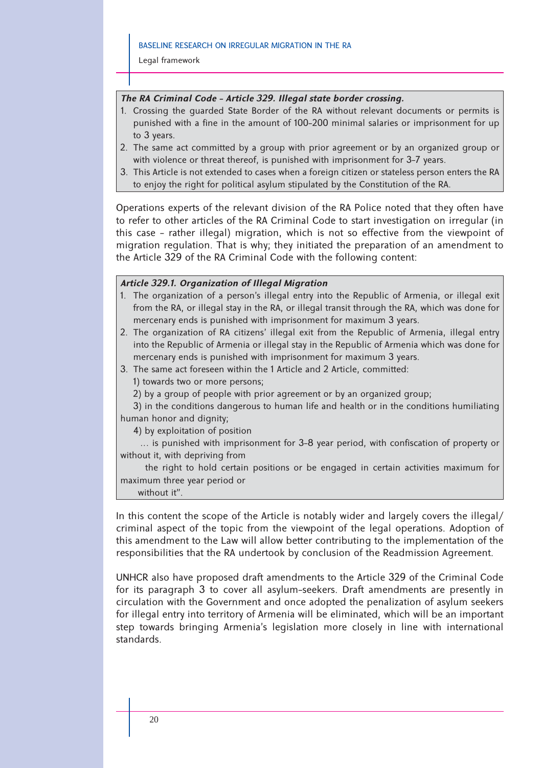Legal framework

#### *The RA Criminal Code - Article 329. Illegal state border crossing.*

- 1. Crossing the guarded State Border of the RA without relevant documents or permits is punished with a fine in the amount of 100-200 minimal salaries or imprisonment for up to 3 years.
- 2. The same act committed by a group with prior agreement or by an organized group or with violence or threat thereof, is punished with imprisonment for 3-7 years.
- 3. This Article is not extended to cases when a foreign citizen or stateless person enters the RA to enjoy the right for political asylum stipulated by the Constitution of the RA.

Operations experts of the relevant division of the RA Police noted that they often have to refer to other articles of the RA Criminal Code to start investigation on irregular (in this case - rather illegal) migration, which is not so effective from the viewpoint of migration regulation. That is why; they initiated the preparation of an amendment to the Article 329 of the RA Criminal Code with the following content:

#### *Article 329.1. Organization of Illegal Migration*

- 1. The organization of a person's illegal entry into the Republic of Armenia, or illegal exit from the RA, or illegal stay in the RA, or illegal transit through the RA, which was done for mercenary ends is punished with imprisonment for maximum 3 years.
- 2. The organization of RA citizens' illegal exit from the Republic of Armenia, illegal entry into the Republic of Armenia or illegal stay in the Republic of Armenia which was done for mercenary ends is punished with imprisonment for maximum 3 years.
- 3. The same act foreseen within the 1 Article and 2 Article, committed:
	- 1) towards two or more persons;
	- 2) by a group of people with prior agreement or by an organized group;

3) in the conditions dangerous to human life and health or in the conditions humiliating human honor and dignity;

4) by exploitation of position

... is punished with imprisonment for 3-8 year period, with confiscation of property or without it, with depriving from

 the right to hold certain positions or be engaged in certain activities maximum for maximum three year period or

without it".

In this content the scope of the Article is notably wider and largely covers the illegal/ criminal aspect of the topic from the viewpoint of the legal operations. Adoption of this amendment to the Law will allow better contributing to the implementation of the responsibilities that the RA undertook by conclusion of the Readmission Agreement.

UNHCR also have proposed draft amendments to the Article 329 of the Criminal Code for its paragraph 3 to cover all asylum-seekers. Draft amendments are presently in circulation with the Government and once adopted the penalization of asylum seekers for illegal entry into territory of Armenia will be eliminated, which will be an important step towards bringing Armenia's legislation more closely in line with international standards.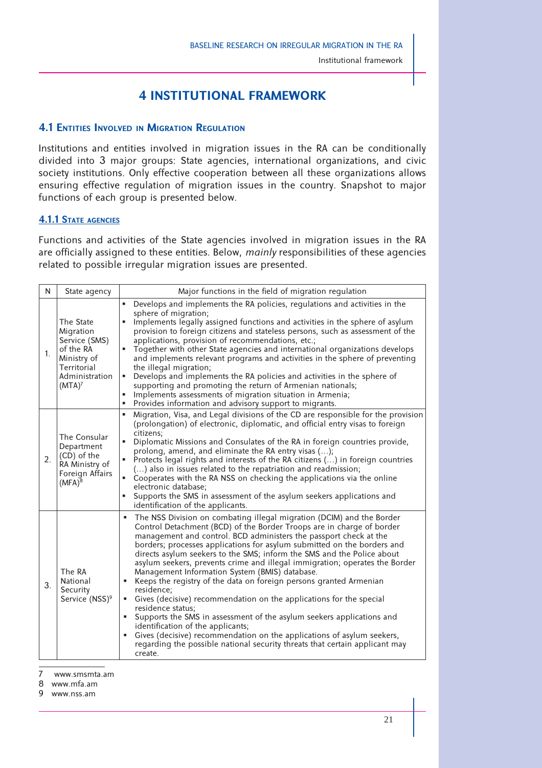# **4 INSTITUTIONAL FRAMEWORK**

# **4.1 ENTITIES INVOLVED IN MIGRATION REGULATION**

Institutions and entities involved in migration issues in the RA can be conditionally divided into 3 major groups: State agencies, international organizations, and civic society institutions. Only effective cooperation between all these organizations allows ensuring effective regulation of migration issues in the country. Snapshot to major functions of each group is presented below.

#### **4.1.1 STATE AGENCIES**

Functions and activities of the State agencies involved in migration issues in the RA are officially assigned to these entities. Below, *mainly* responsibilities of these agencies related to possible irregular migration issues are presented.

| N           | State agency                                                                                                               | Major functions in the field of migration regulation                                                                                                                                                                                                                                                                                                                                                                                                                                                                                                                                                                                                                                                                                                                                                                                                                                                                                                                             |
|-------------|----------------------------------------------------------------------------------------------------------------------------|----------------------------------------------------------------------------------------------------------------------------------------------------------------------------------------------------------------------------------------------------------------------------------------------------------------------------------------------------------------------------------------------------------------------------------------------------------------------------------------------------------------------------------------------------------------------------------------------------------------------------------------------------------------------------------------------------------------------------------------------------------------------------------------------------------------------------------------------------------------------------------------------------------------------------------------------------------------------------------|
| $1_{\cdot}$ | The State<br>Migration<br>Service (SMS)<br>of the RA<br>Ministry of<br>Territorial<br>Administration<br>(MTA) <sup>7</sup> | Develops and implements the RA policies, regulations and activities in the<br>٠<br>sphere of migration;<br>Implements legally assigned functions and activities in the sphere of asylum<br>provision to foreign citizens and stateless persons, such as assessment of the<br>applications, provision of recommendations, etc.;<br>" Together with other State agencies and international organizations develops<br>and implements relevant programs and activities in the sphere of preventing<br>the illegal migration;<br>Develops and implements the RA policies and activities in the sphere of<br>٠<br>supporting and promoting the return of Armenian nationals;<br>Implements assessments of migration situation in Armenia;<br>×,<br>Provides information and advisory support to migrants.                                                                                                                                                                              |
| 2.          | The Consular<br>Department<br>(CD) of the<br>RA Ministry of<br>Foreign Affairs<br>$(MFA)^8$                                | Migration, Visa, and Legal divisions of the CD are responsible for the provision<br>g,<br>(prolongation) of electronic, diplomatic, and official entry visas to foreign<br>citizens:<br>٠<br>Diplomatic Missions and Consulates of the RA in foreign countries provide,<br>prolong, amend, and eliminate the RA entry visas ();<br>Protects legal rights and interests of the RA citizens () in foreign countries<br>٠<br>() also in issues related to the repatriation and readmission;<br>Cooperates with the RA NSS on checking the applications via the online<br>٠<br>electronic database;<br>Supports the SMS in assessment of the asylum seekers applications and<br>×,<br>identification of the applicants.                                                                                                                                                                                                                                                              |
| 3.          | The RA<br>National<br>Security<br>Service (NSS) <sup>9</sup>                                                               | The NSS Division on combating illegal migration (DCIM) and the Border<br>٠<br>Control Detachment (BCD) of the Border Troops are in charge of border<br>management and control. BCD administers the passport check at the<br>borders; processes applications for asylum submitted on the borders and<br>directs asylum seekers to the SMS; inform the SMS and the Police about<br>asylum seekers, prevents crime and illegal immigration; operates the Border<br>Management Information System (BMIS) database.<br>Keeps the registry of the data on foreign persons granted Armenian<br>residence;<br>Gives (decisive) recommendation on the applications for the special<br>residence status;<br>Supports the SMS in assessment of the asylum seekers applications and<br>identification of the applicants;<br>Gives (decisive) recommendation on the applications of asylum seekers,<br>regarding the possible national security threats that certain applicant may<br>create. |

7 www.smsmta.am

<sup>8</sup> www.mfa.am

<sup>9</sup> www.nss.am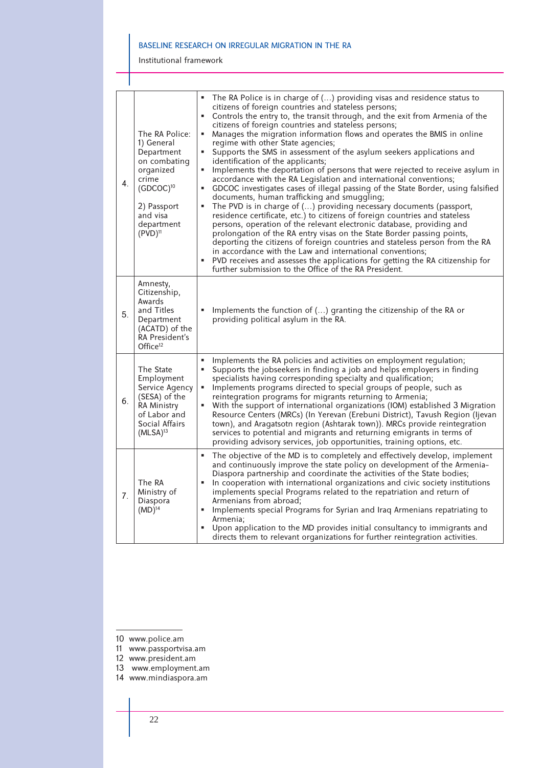Institutional framework

| 4. | The RA Police:<br>1) General<br>Department<br>on combating<br>organized<br>crime<br>$(GDCOC)^{10}$<br>2) Passport<br>and visa<br>department<br>$(PVD)^{11}$ | The RA Police is in charge of () providing visas and residence status to<br>citizens of foreign countries and stateless persons;<br>Controls the entry to, the transit through, and the exit from Armenia of the<br>٠<br>citizens of foreign countries and stateless persons;<br>Manages the migration information flows and operates the BMIS in online<br>٠<br>regime with other State agencies;<br>Supports the SMS in assessment of the asylum seekers applications and<br>٠<br>identification of the applicants;<br>Implements the deportation of persons that were rejected to receive asylum in<br>٠<br>accordance with the RA Legislation and international conventions;<br>GDCOC investigates cases of illegal passing of the State Border, using falsified<br>٠<br>documents, human trafficking and smuggling;<br>The PVD is in charge of () providing necessary documents (passport,<br>٠<br>residence certificate, etc.) to citizens of foreign countries and stateless<br>persons, operation of the relevant electronic database, providing and<br>prolongation of the RA entry visas on the State Border passing points,<br>deporting the citizens of foreign countries and stateless person from the RA<br>in accordance with the Law and international conventions;<br>PVD receives and assesses the applications for getting the RA citizenship for<br>further submission to the Office of the RA President. |
|----|-------------------------------------------------------------------------------------------------------------------------------------------------------------|-------------------------------------------------------------------------------------------------------------------------------------------------------------------------------------------------------------------------------------------------------------------------------------------------------------------------------------------------------------------------------------------------------------------------------------------------------------------------------------------------------------------------------------------------------------------------------------------------------------------------------------------------------------------------------------------------------------------------------------------------------------------------------------------------------------------------------------------------------------------------------------------------------------------------------------------------------------------------------------------------------------------------------------------------------------------------------------------------------------------------------------------------------------------------------------------------------------------------------------------------------------------------------------------------------------------------------------------------------------------------------------------------------------------------------|
| 5. | Amnesty,<br>Citizenship,<br>Awards<br>and Titles<br>Department<br>(ACATD) of the<br>RA President's<br>Office $12$                                           | Implements the function of () granting the citizenship of the RA or<br>providing political asylum in the RA.                                                                                                                                                                                                                                                                                                                                                                                                                                                                                                                                                                                                                                                                                                                                                                                                                                                                                                                                                                                                                                                                                                                                                                                                                                                                                                                  |
| 6. | The State<br>Employment<br>Service Agency<br>(SESA) of the<br>RA Ministry<br>of Labor and<br>Social Affairs<br>$(MLSA)^{13}$                                | Implements the RA policies and activities on employment regulation;<br>Supports the jobseekers in finding a job and helps employers in finding<br>specialists having corresponding specialty and qualification;<br>Implements programs directed to special groups of people, such as<br>٠<br>reintegration programs for migrants returning to Armenia;<br>With the support of international organizations (IOM) established 3 Migration<br>Resource Centers (MRCs) (In Yerevan (Erebuni District), Tavush Region (Ijevan<br>town), and Aragatsotn region (Ashtarak town)). MRCs provide reintegration<br>services to potential and migrants and returning emigrants in terms of<br>providing advisory services, job opportunities, training options, etc.                                                                                                                                                                                                                                                                                                                                                                                                                                                                                                                                                                                                                                                                     |
| 7. | The RA<br>Ministry of<br>Diaspora<br>$(MD)^{14}$                                                                                                            | The objective of the MD is to completely and effectively develop, implement<br>and continuously improve the state policy on development of the Armenia-<br>Diaspora partnership and coordinate the activities of the State bodies;<br>In cooperation with international organizations and civic society institutions<br>٠<br>implements special Programs related to the repatriation and return of<br>Armenians from abroad;<br>Implements special Programs for Syrian and Iraq Armenians repatriating to<br>٠<br>Armenia;<br>Upon application to the MD provides initial consultancy to immigrants and<br>directs them to relevant organizations for further reintegration activities.                                                                                                                                                                                                                                                                                                                                                                                                                                                                                                                                                                                                                                                                                                                                       |

- 10 www.police.am
- 11 www.passportvisa.am
- 12 www.president.am
- 13 www.employment.am
- 14 www.mindiaspora.am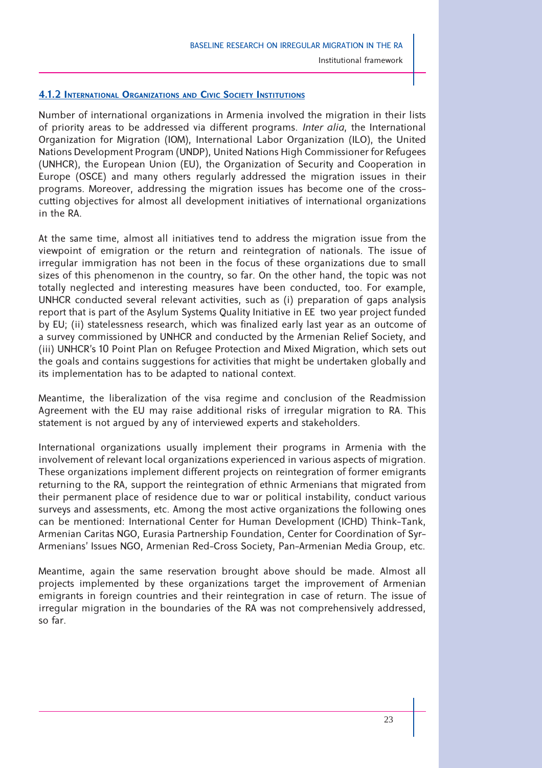#### **4.1.2 INTERNATIONAL ORGANIZATIONS AND CIVIC SOCIETY INSTITUTIONS**

Number of international organizations in Armenia involved the migration in their lists of priority areas to be addressed via different programs. *Inter alia*, the International Organization for Migration (IOM), International Labor Organization (ILO), the United Nations Development Program (UNDP), United Nations High Commissioner for Refugees (UNHCR), the European Union (EU), the Organization of Security and Cooperation in Europe (OSCE) and many others regularly addressed the migration issues in their programs. Moreover, addressing the migration issues has become one of the crosscutting objectives for almost all development initiatives of international organizations in the RA.

At the same time, almost all initiatives tend to address the migration issue from the viewpoint of emigration or the return and reintegration of nationals. The issue of irregular immigration has not been in the focus of these organizations due to small sizes of this phenomenon in the country, so far. On the other hand, the topic was not totally neglected and interesting measures have been conducted, too. For example, UNHCR conducted several relevant activities, such as (i) preparation of gaps analysis report that is part of the Asylum Systems Quality Initiative in EE two year project funded by EU; (ii) statelessness research, which was finalized early last year as an outcome of a survey commissioned by UNHCR and conducted by the Armenian Relief Society, and (iii) UNHCR's 10 Point Plan on Refugee Protection and Mixed Migration, which sets out the goals and contains suggestions for activities that might be undertaken globally and its implementation has to be adapted to national context.

Meantime, the liberalization of the visa regime and conclusion of the Readmission Agreement with the EU may raise additional risks of irregular migration to RA. This statement is not argued by any of interviewed experts and stakeholders.

International organizations usually implement their programs in Armenia with the involvement of relevant local organizations experienced in various aspects of migration. These organizations implement different projects on reintegration of former emigrants returning to the RA, support the reintegration of ethnic Armenians that migrated from their permanent place of residence due to war or political instability, conduct various surveys and assessments, etc. Among the most active organizations the following ones can be mentioned: International Center for Human Development (ICHD) Think-Tank, Armenian Caritas NGO, Eurasia Partnership Foundation, Center for Coordination of Syr-Armenians' Issues NGO, Armenian Red-Cross Society, Pan-Armenian Media Group, etc.

Meantime, again the same reservation brought above should be made. Almost all projects implemented by these organizations target the improvement of Armenian emigrants in foreign countries and their reintegration in case of return. The issue of irregular migration in the boundaries of the RA was not comprehensively addressed, so far.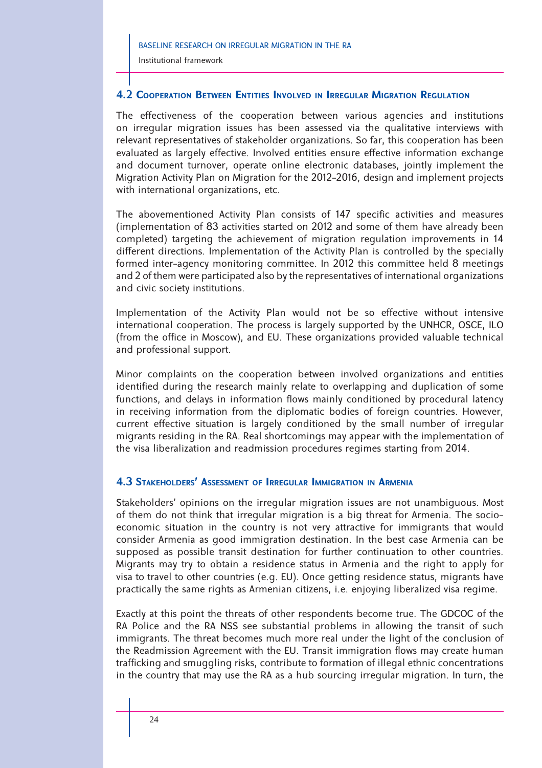# **4.2 COOPERATION BETWEEN ENTITIES INVOLVED IN IRREGULAR MIGRATION REGULATION**

The effectiveness of the cooperation between various agencies and institutions on irregular migration issues has been assessed via the qualitative interviews with relevant representatives of stakeholder organizations. So far, this cooperation has been evaluated as largely effective. Involved entities ensure effective information exchange and document turnover, operate online electronic databases, jointly implement the Migration Activity Plan on Migration for the 2012-2016, design and implement projects with international organizations, etc.

The abovementioned Activity Plan consists of 147 specific activities and measures (implementation of 83 activities started on 2012 and some of them have already been completed) targeting the achievement of migration regulation improvements in 14 different directions. Implementation of the Activity Plan is controlled by the specially formed inter-agency monitoring committee. In 2012 this committee held 8 meetings and 2 of them were participated also by the representatives of international organizations and civic society institutions.

Implementation of the Activity Plan would not be so effective without intensive international cooperation. The process is largely supported by the UNHCR, OSCE, ILO (from the office in Moscow), and EU. These organizations provided valuable technical and professional support.

Minor complaints on the cooperation between involved organizations and entities identified during the research mainly relate to overlapping and duplication of some functions, and delays in information flows mainly conditioned by procedural latency in receiving information from the diplomatic bodies of foreign countries. However, current effective situation is largely conditioned by the small number of irregular migrants residing in the RA. Real shortcomings may appear with the implementation of the visa liberalization and readmission procedures regimes starting from 2014.

# **4.3 STAKEHOLDERS' ASSESSMENT OF IRREGULAR IMMIGRATION IN ARMENIA**

Stakeholders' opinions on the irregular migration issues are not unambiguous. Most of them do not think that irregular migration is a big threat for Armenia. The socioeconomic situation in the country is not very attractive for immigrants that would consider Armenia as good immigration destination. In the best case Armenia can be supposed as possible transit destination for further continuation to other countries. Migrants may try to obtain a residence status in Armenia and the right to apply for visa to travel to other countries (e.g. EU). Once getting residence status, migrants have practically the same rights as Armenian citizens, i.e. enjoying liberalized visa regime.

Exactly at this point the threats of other respondents become true. The GDCOC of the RA Police and the RA NSS see substantial problems in allowing the transit of such immigrants. The threat becomes much more real under the light of the conclusion of the Readmission Agreement with the EU. Transit immigration flows may create human trafficking and smuggling risks, contribute to formation of illegal ethnic concentrations in the country that may use the RA as a hub sourcing irregular migration. In turn, the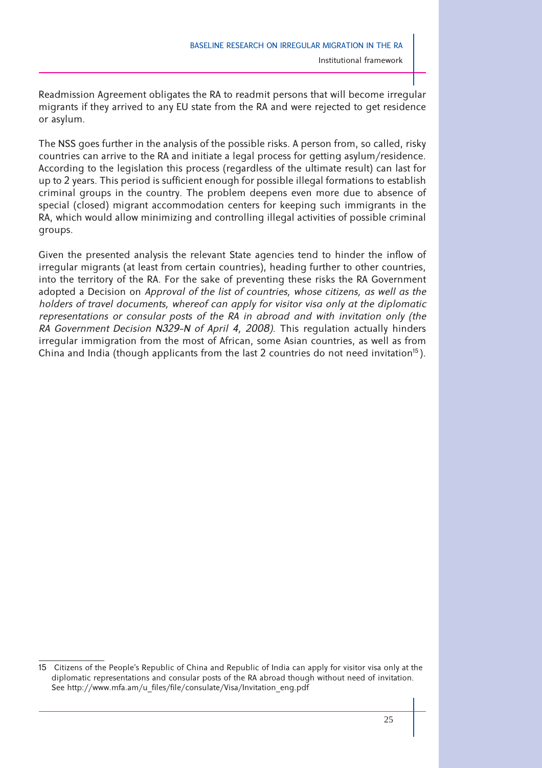Readmission Agreement obligates the RA to readmit persons that will become irregular migrants if they arrived to any EU state from the RA and were rejected to get residence or asylum.

The NSS goes further in the analysis of the possible risks. A person from, so called, risky countries can arrive to the RA and initiate a legal process for getting asylum/residence. According to the legislation this process (regardless of the ultimate result) can last for up to 2 years. This period is sufficient enough for possible illegal formations to establish criminal groups in the country. The problem deepens even more due to absence of special (closed) migrant accommodation centers for keeping such immigrants in the RA, which would allow minimizing and controlling illegal activities of possible criminal groups.

Given the presented analysis the relevant State agencies tend to hinder the inflow of irregular migrants (at least from certain countries), heading further to other countries, into the territory of the RA. For the sake of preventing these risks the RA Government adopted a Decision on *Approval of the list of countries, whose citizens, as well as the holders of travel documents, whereof can apply for visitor visa only at the diplomatic representations or consular posts of the RA in abroad and with invitation only (the RA Government Decision N329-N of April 4, 2008)*. This regulation actually hinders irregular immigration from the most of African, some Asian countries, as well as from China and India (though applicants from the last 2 countries do not need invitation $^{15}$ ).

<sup>15</sup> Citizens of the People's Republic of China and Republic of India can apply for visitor visa only at the diplomatic representations and consular posts of the RA abroad though without need of invitation. See http://www.mfa.am/u\_files/file/consulate/Visa/Invitation\_eng.pdf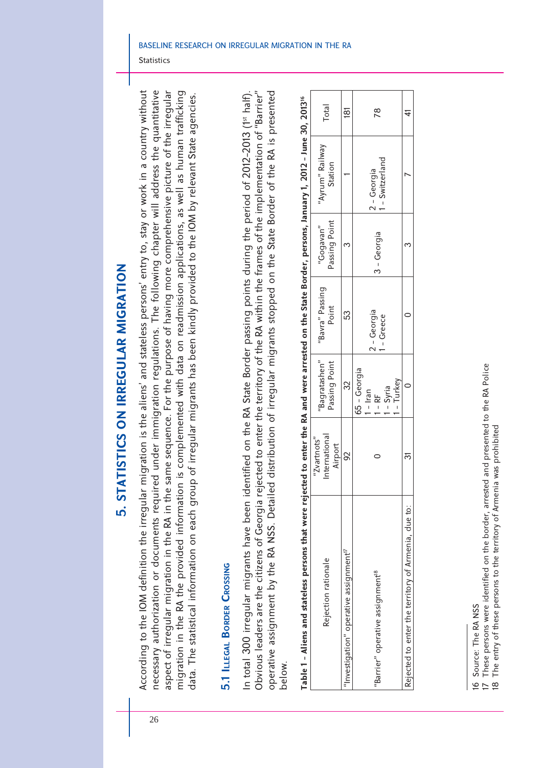5. STATISTICS ON IRREGULAR MIGRATION **5. STATISTICS ON IRREGULAR MIGRATION**

According to the IOM definition the irregular migration is the aliens' and stateless persons' entry to, stay or work in a country without necessary authorization or documents required under immigration regulations. The following chapter will address the quantitative aspect of irregular migration in the RA in the same sequence. For the purpose of having more comprehensive picture of the irregular migration in the RA the provided information is complemented with data on readmission applications, as well as human trafficking According to the IOM definition the irregular migration is the aliens' and stateless persons' entry to, stay or work in a country without aspect of irregular migration in the RA in the same sequence. For the purpose of having more comprehensive picture of the irregular migration in the RA the provided information is complemented with data on readmission applications, as well as human trafficking necessary authorization or documents required under immigration regulations. The following chapter will address the quantitative data. The statistical information on each group of irregular migrants has been kindly provided to the IOM by relevant State agencies. data. The statistical information on each group of irregular migrants has been kindly provided to the IOM by relevant State agencies.

**Statistics** 

# 5.1 ILLEGAL BORDER CROSSING **5.1 ILLEGAL BORDER CROSSING**

In total 300 irregular migrants have been identified on the RA State Border passing points during the period of 2012-2013 (1<sup>st half)</sup>. Obvious leaders are the citizens of Georgia rejected to enter the territory of the RA within the frames of the implementation of "Barrier" operative assignment by the RA NSS. Detailed distribution of irregular migrants stopped on the State Border of the RA is presented Obvious leaders are the citizens of Georgia rejected to enter the territory of the RA within the frames of the implementation of "Barrier" operative assignment by the RA NSS. Detailed distribution of irregular migrants stopped on the State Border of the RA is presented n total 300 irregular migrants have been identified on the RA State Border passing points during the period of 2012-2013 (1st half). below.

| Rejection rationale                                 | International<br>$"Z$ vartnots"<br>Airport | "Bagratashen"<br>Passing Point                              | "Bavra" Passing<br>Point | Passing Point<br>"Gogavan" | "Ayrum" Railway<br>Station   | Total |
|-----------------------------------------------------|--------------------------------------------|-------------------------------------------------------------|--------------------------|----------------------------|------------------------------|-------|
| 'Investigation" operative assignment $^{17}$        |                                            |                                                             | 53                       |                            |                              | έā    |
| "Barrier" operative assignment <sup>18</sup>        |                                            | 65 - Georgia<br>- Turkey<br>- Syria<br>$1 -$ Iran<br>$-$ RF | 2 - Georgia<br>- Greece  | 3 - Georgia                | - Switzerland<br>2 - Georgia | 78    |
| Rejected to enter the territory of Armenia, due to: |                                            |                                                             |                          |                            |                              |       |

| i                 |
|-------------------|
|                   |
|                   |
|                   |
| ć                 |
|                   |
| June              |
|                   |
| ı                 |
| ļ                 |
| ባሳባ               |
| I                 |
|                   |
|                   |
| ļ                 |
| ĺ<br>u u u u      |
|                   |
|                   |
|                   |
|                   |
| <b>ACCESS</b>     |
|                   |
|                   |
|                   |
|                   |
|                   |
|                   |
|                   |
|                   |
| )<br>}<br>}<br>}  |
|                   |
| Ċ                 |
|                   |
|                   |
|                   |
|                   |
|                   |
|                   |
|                   |
|                   |
|                   |
|                   |
|                   |
|                   |
|                   |
| and were arrested |
|                   |
|                   |
|                   |
|                   |
|                   |
|                   |
| ;<br>;            |
|                   |
|                   |
|                   |
|                   |
| Š                 |
|                   |
|                   |
| j                 |
| <b>rele</b>       |
|                   |
|                   |
|                   |
|                   |
|                   |
|                   |
|                   |
|                   |
|                   |
|                   |
|                   |
|                   |
|                   |
|                   |
|                   |
|                   |
|                   |
|                   |
|                   |
|                   |
|                   |
| Í                 |
| ı                 |
|                   |
| ١                 |
| c                 |
| $\overline{6}$    |
|                   |
| I                 |

26

<sup>16</sup> Source: The RA NSS

These persons were identified on the border, arrested and presented to the RA Police 17 These persons were identified on the border, arrested and presented to the RA Police 16 Source: The RA NSS<br>17 These persons were io<br>18 The entry of these per

The entry of these persons to the territory of Armenia was prohibited 18 The entry of these persons to the territory of Armenia was prohibited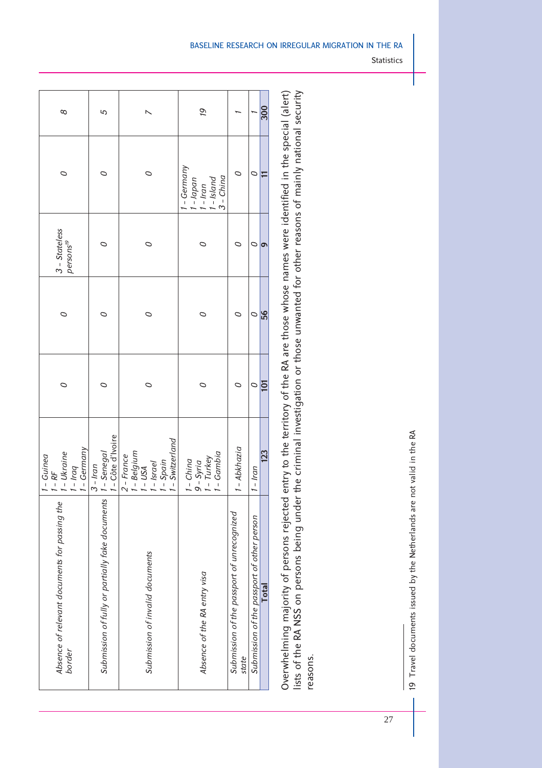| 8                                                            | 5                                               |                                                                                | ól                                                              |                                                     | 300                                                 |
|--------------------------------------------------------------|-------------------------------------------------|--------------------------------------------------------------------------------|-----------------------------------------------------------------|-----------------------------------------------------|-----------------------------------------------------|
| ○                                                            | ○                                               | ○                                                                              | I - Germany<br>1 - Japan<br>1 - Iran<br>1 - Island<br>3 - China |                                                     | H<br>○                                              |
| $3 - States$<br>persons <sup>19</sup>                        |                                                 | 0                                                                              | O                                                               |                                                     | ø<br>O                                              |
| ○                                                            |                                                 | O                                                                              | ○                                                               |                                                     | 56<br>O                                             |
| 0                                                            |                                                 | 0                                                                              | O                                                               |                                                     | $\overline{101}$<br>$\circ$                         |
| - Germany<br>- Ukraine<br>1 - Guinea<br>$b$ $p$ $q$<br>$-RF$ | 1 - Senegal<br>1 - Côte d'Ivoire<br>$3 - Iran$  | - Switzerland<br>1 - Belgium<br>1 - USA<br>1 - Israel<br>2 - France<br>- Spain | $-Gambia$<br>9 - Syria<br>1 - Turkey<br>$1 - China$             | 1 - Abkhazia                                        | 123<br>$1 - Iran$                                   |
| Absence of relevant documents for passing the<br>border      | Submission of fully or partially fake documents | Submission of invalid documents                                                | Absence of the RA entry visa                                    | Submission of the passport of unrecognized<br>state | Submission of the passport of other person<br>Total |

Overwhelming majority of persons rejected entry to the territory of the RA are those whose names were identified in the special (alert) lists of the RA NSS on persons being under the criminal investigation or those unwanted for other reasons of mainly national security Overwhelming majority of persons rejected entry to the territory of the RA are those whose names were identified in the special (alert) lists of the RA NSS on persons being under the criminal investigation or those unwanted for other reasons of mainly national security reasons. reasons. Statistics

19 Travel documents issued by the Netherlands are not valid in the RA

19 Travel documents issued by the Netherlands are not valid in the RA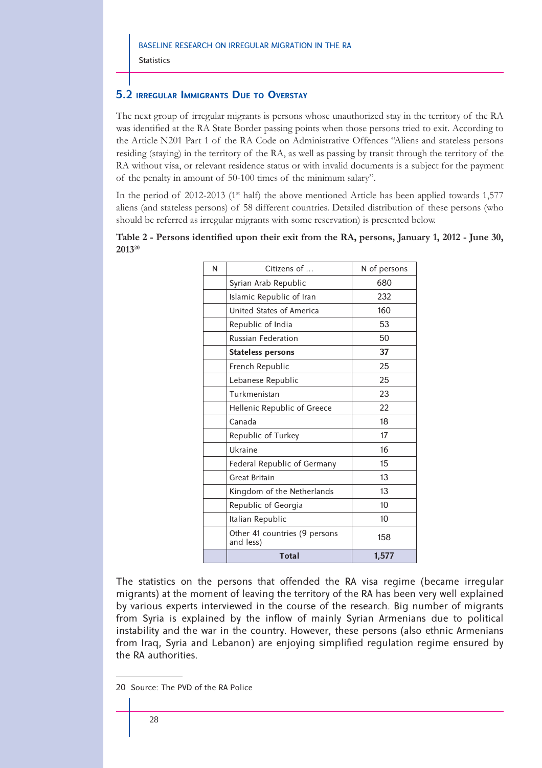**Statistics** 

# **5.2 IRREGULAR IMMIGRANTS DUE TO OVERSTAY**

The next group of irregular migrants is persons whose unauthorized stay in the territory of the RA was identified at the RA State Border passing points when those persons tried to exit. According to the Article N201 Part 1 of the RA Code on Administrative Offences "Aliens and stateless persons residing (staying) in the territory of the RA, as well as passing by transit through the territory of the RA without visa, or relevant residence status or with invalid documents is a subject for the payment of the penalty in amount of 50-100 times of the minimum salary".

In the period of 2012-2013 (1<sup>st</sup> half) the above mentioned Article has been applied towards 1,577 aliens (and stateless persons) of 58 different countries. Detailed distribution of these persons (who should be referred as irregular migrants with some reservation) is presented below.

|                    | Table 2 - Persons identified upon their exit from the RA, persons, January 1, 2012 - June 30, |  |  |  |  |
|--------------------|-----------------------------------------------------------------------------------------------|--|--|--|--|
| 2013 <sup>20</sup> |                                                                                               |  |  |  |  |

| N | Citizens of                                | N of persons |
|---|--------------------------------------------|--------------|
|   | Syrian Arab Republic                       | 680          |
|   | Islamic Republic of Iran                   | 232          |
|   | United States of America                   | 160          |
|   | Republic of India                          | 53           |
|   | <b>Russian Federation</b>                  | 50           |
|   | <b>Stateless persons</b>                   | 37           |
|   | French Republic                            | 25           |
|   | Lebanese Republic                          | 25           |
|   | Turkmenistan                               | 23           |
|   | Hellenic Republic of Greece                | 22           |
|   | Canada                                     | 18           |
|   | Republic of Turkey                         | 17           |
|   | Ukraine                                    | 16           |
|   | Federal Republic of Germany                | 15           |
|   | <b>Great Britain</b>                       | 13           |
|   | Kingdom of the Netherlands                 | 13           |
|   | Republic of Georgia                        | 10           |
|   | Italian Republic                           | 10           |
|   | Other 41 countries (9 persons<br>and less) | 158          |
|   | Total                                      | 1,577        |

The statistics on the persons that offended the RA visa regime (became irregular migrants) at the moment of leaving the territory of the RA has been very well explained by various experts interviewed in the course of the research. Big number of migrants from Syria is explained by the inflow of mainly Syrian Armenians due to political instability and the war in the country. However, these persons (also ethnic Armenians from Iraq, Syria and Lebanon) are enjoying simplified regulation regime ensured by the RA authorities.

<sup>20</sup> Source: The PVD of the RA Police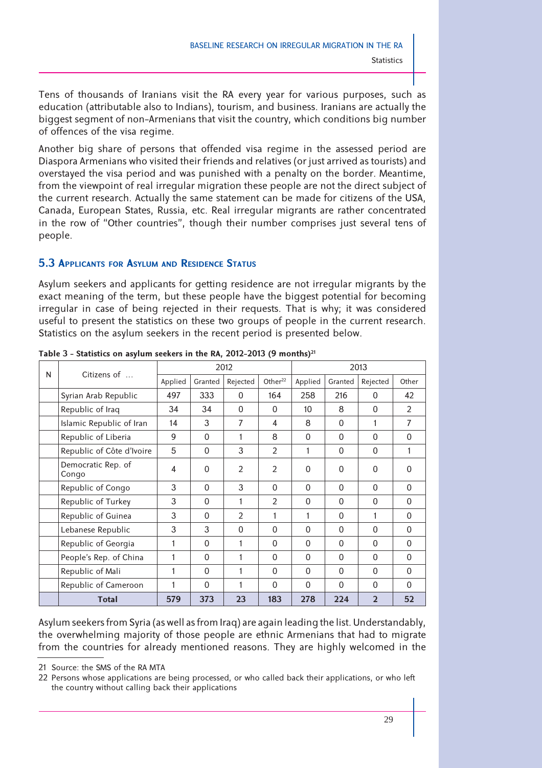Tens of thousands of Iranians visit the RA every year for various purposes, such as education (attributable also to Indians), tourism, and business. Iranians are actually the biggest segment of non-Armenians that visit the country, which conditions big number of offences of the visa regime.

Another big share of persons that offended visa regime in the assessed period are Diaspora Armenians who visited their friends and relatives (or just arrived as tourists) and overstayed the visa period and was punished with a penalty on the border. Meantime, from the viewpoint of real irregular migration these people are not the direct subject of the current research. Actually the same statement can be made for citizens of the USA, Canada, European States, Russia, etc. Real irregular migrants are rather concentrated in the row of "Other countries", though their number comprises just several tens of people.

# **5.3 APPLICANTS FOR ASYLUM AND RESIDENCE STATUS**

Asylum seekers and applicants for getting residence are not irregular migrants by the exact meaning of the term, but these people have the biggest potential for becoming irregular in case of being rejected in their requests. That is why; it was considered useful to present the statistics on these two groups of people in the current research. Statistics on the asylum seekers in the recent period is presented below.

| N | Citizens of                 |         |          | 2012           |                     |          |              | 2013           |                |
|---|-----------------------------|---------|----------|----------------|---------------------|----------|--------------|----------------|----------------|
|   |                             | Applied | Granted  | Rejected       | Other <sup>22</sup> | Applied  | Granted      | Rejected       | Other          |
|   | Syrian Arab Republic        | 497     | 333      | $\Omega$       | 164                 | 258      | 216          | $\Omega$       | 42             |
|   | Republic of Iraq            | 34      | 34       | $\Omega$       | $\Omega$            | 10       | 8            | $\Omega$       | $\overline{2}$ |
|   | Islamic Republic of Iran    | 14      | 3        | 7              | 4                   | 8        | $\Omega$     | 1              | 7              |
|   | Republic of Liberia         | 9       | $\Omega$ | 1              | 8                   | 0        | 0            | 0              | 0              |
|   | Republic of Côte d'Ivoire   | 5       | 0        | 3              | $\mathfrak{D}$      | 1        | $\Omega$     | $\Omega$       | 1              |
|   | Democratic Rep. of<br>Congo | 4       | 0        | $\overline{2}$ | $\mathfrak{D}$      | 0        | $\Omega$     | $\Omega$       | $\Omega$       |
|   | Republic of Congo           | 3       | $\Omega$ | 3              | $\Omega$            | $\Omega$ | $\Omega$     | $\Omega$       | $\Omega$       |
|   | Republic of Turkey          | 3       | $\Omega$ | 1              | $\mathfrak{D}$      | $\Omega$ | $\Omega$     | $\Omega$       | $\Omega$       |
|   | Republic of Guinea          | 3       | 0        | $\overline{2}$ | 1                   | 1        | $\Omega$     | 1              | 0              |
|   | Lebanese Republic           | 3       | 3        | 0              | $\Omega$            | 0        | $\Omega$     | $\Omega$       | 0              |
|   | Republic of Georgia         | 1       | $\Omega$ | 1              | $\Omega$            | 0        | $\mathbf{0}$ | $\Omega$       | $\mathbf{0}$   |
|   | People's Rep. of China      | 1       | $\Omega$ | 1              | $\Omega$            | $\Omega$ | $\Omega$     | $\Omega$       | $\Omega$       |
|   | Republic of Mali            | 1       | $\Omega$ | 1              | $\Omega$            | 0        | $\Omega$     | $\Omega$       | $\Omega$       |
|   | Republic of Cameroon        | 1       | $\Omega$ | 1              | $\Omega$            | $\Omega$ | $\Omega$     | $\Omega$       | $\Omega$       |
|   | <b>Total</b>                | 579     | 373      | 23             | 183                 | 278      | 224          | $\overline{2}$ | 52             |

**Table 3 - Statistics on asylum seekers in the RA, 2012-2013 (9 months)21**

Asylum seekers from Syria (as well as from Iraq) are again leading the list. Understandably, the overwhelming majority of those people are ethnic Armenians that had to migrate from the countries for already mentioned reasons. They are highly welcomed in the

<sup>21</sup> Source: the SMS of the RA MTA

<sup>22</sup> Persons whose applications are being processed, or who called back their applications, or who left the country without calling back their applications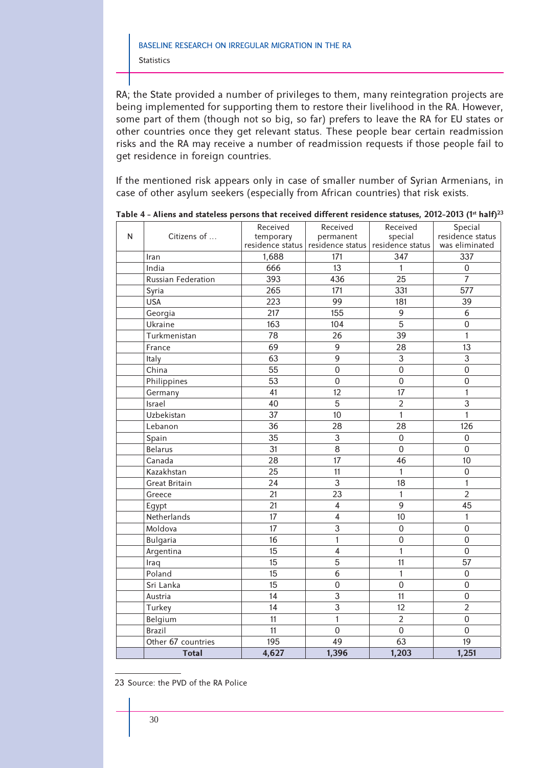RA; the State provided a number of privileges to them, many reintegration projects are being implemented for supporting them to restore their livelihood in the RA. However, some part of them (though not so big, so far) prefers to leave the RA for EU states or other countries once they get relevant status. These people bear certain readmission risks and the RA may receive a number of readmission requests if those people fail to get residence in foreign countries.

If the mentioned risk appears only in case of smaller number of Syrian Armenians, in case of other asylum seekers (especially from African countries) that risk exists.

| N | л.<br>Citizens of    | Received<br>temporary | Received<br>permanent                              | Received<br>special | Special<br>residence status |
|---|----------------------|-----------------------|----------------------------------------------------|---------------------|-----------------------------|
|   |                      |                       | residence status residence status residence status |                     | was eliminated              |
|   | Iran                 | 1,688                 | 171                                                | 347                 | 337                         |
|   | India                | 666                   | 13                                                 | 1                   | $\boldsymbol{0}$            |
|   | Russian Federation   | 393                   | 436                                                | 25                  | $\overline{7}$              |
|   | Syria                | 265                   | 171                                                | 331                 | 577                         |
|   | <b>USA</b>           | 223                   | 99                                                 | 181                 | 39                          |
|   | Georgia              | 217                   | 155                                                | 9                   | 6                           |
|   | Ukraine              | 163                   | 104                                                | $\overline{5}$      | $\overline{0}$              |
|   | Turkmenistan         | 78                    | 26                                                 | 39                  | 1                           |
|   | France               | 69                    | $\overline{9}$                                     | 28                  | 13                          |
|   | Italy                | 63                    | 9                                                  | 3                   | 3                           |
|   | China                | 55                    | $\boldsymbol{0}$                                   | $\mathsf 0$         | $\boldsymbol{0}$            |
|   | Philippines          | 53                    | $\mathbf 0$                                        | $\mathsf 0$         | $\mathbf 0$                 |
|   | Germany              | 41                    | 12                                                 | 17                  | $\mathbf{1}$                |
|   | Israel               | 40                    | 5                                                  | $\overline{2}$      | 3                           |
|   | Uzbekistan           | 37                    | 10                                                 | 1                   | $\mathbf{1}$                |
|   | Lebanon              | 36                    | 28                                                 | 28                  | 126                         |
|   | Spain                | 35                    | $\overline{3}$                                     | $\mathbf 0$         | $\mathbf 0$                 |
|   | Belarus              | 31                    | $\overline{8}$                                     | $\overline{0}$      | $\mathbf 0$                 |
|   | Canada               | 28                    | 17                                                 | 46                  | 10                          |
|   | Kazakhstan           | 25                    | 11                                                 | $\mathbf{1}$        | $\overline{0}$              |
|   | <b>Great Britain</b> | 24                    | 3                                                  | 18                  | $\mathbf{1}$                |
|   | Greece               | 21                    | 23                                                 | $\mathbf{1}$        | $\overline{2}$              |
|   | Egypt                | 21                    | $\overline{4}$                                     | $\overline{9}$      | 45                          |
|   | Netherlands          | 17                    | $\overline{4}$                                     | 10                  | $\mathbf{1}$                |
|   | Moldova              | 17                    | $\overline{3}$                                     | $\mathbf 0$         | $\overline{0}$              |
|   | <b>Bulgaria</b>      | 16                    | 1                                                  | 0                   | $\mathbf 0$                 |
|   | Argentina            | 15                    | $\overline{4}$                                     | 1                   | $\overline{0}$              |
|   | Iraq                 | 15                    | 5                                                  | 11                  | 57                          |
|   | Poland               | 15                    | 6                                                  | 1                   | $\mathbf 0$                 |
|   | Sri Lanka            | 15                    | $\boldsymbol{0}$                                   | $\mathbf 0$         | $\overline{0}$              |
|   | Austria              | 14                    | 3                                                  | 11                  | $\mathbf 0$                 |
|   | Turkey               | 14                    | $\overline{3}$                                     | 12                  | $\overline{2}$              |
|   | Belgium              | $\overline{11}$       | $\mathbf{1}$                                       | $\overline{2}$      | $\overline{0}$              |
|   | <b>Brazil</b>        | 11                    | $\mathbf 0$                                        | $\mathbf 0$         | $\overline{0}$              |
|   | Other 67 countries   | 195                   | 49                                                 | 63                  | 19                          |
|   | <b>Total</b>         | 4,627                 | 1,396                                              | 1,203               | 1,251                       |

Table 4 - Aliens and stateless persons that received different residence statuses, 2012-2013 (1<sup>st</sup> half)<sup>23</sup>

23 Source: the PVD of the RA Police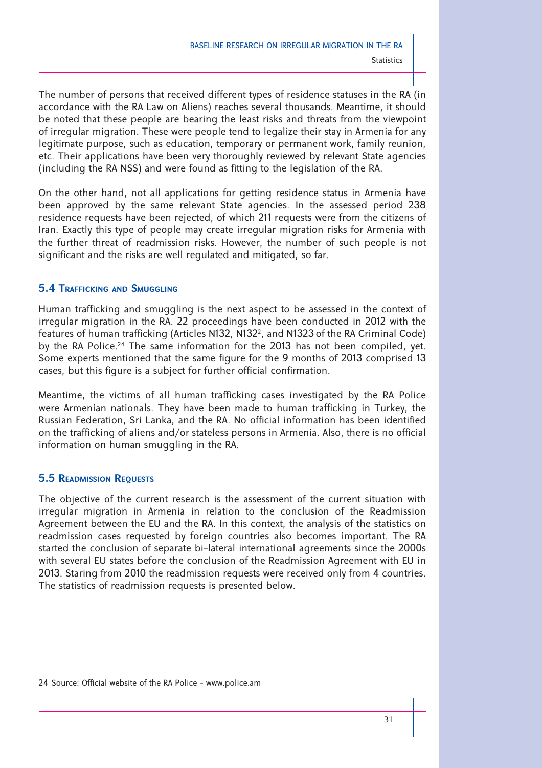The number of persons that received different types of residence statuses in the RA (in accordance with the RA Law on Aliens) reaches several thousands. Meantime, it should be noted that these people are bearing the least risks and threats from the viewpoint of irregular migration. These were people tend to legalize their stay in Armenia for any legitimate purpose, such as education, temporary or permanent work, family reunion, etc. Their applications have been very thoroughly reviewed by relevant State agencies (including the RA NSS) and were found as fitting to the legislation of the RA.

On the other hand, not all applications for getting residence status in Armenia have been approved by the same relevant State agencies. In the assessed period 238 residence requests have been rejected, of which 211 requests were from the citizens of Iran. Exactly this type of people may create irregular migration risks for Armenia with the further threat of readmission risks. However, the number of such people is not significant and the risks are well regulated and mitigated, so far.

# **5.4 TRAFFICKING AND SMUGGLING**

Human trafficking and smuggling is the next aspect to be assessed in the context of irregular migration in the RA. 22 proceedings have been conducted in 2012 with the features of human trafficking (Articles N132, N132<sup>2</sup>, and N1323 of the RA Criminal Code) by the RA Police.<sup>24</sup> The same information for the 2013 has not been compiled, yet. Some experts mentioned that the same figure for the 9 months of 2013 comprised 13 cases, but this figure is a subject for further official confirmation.

Meantime, the victims of all human trafficking cases investigated by the RA Police were Armenian nationals. They have been made to human trafficking in Turkey, the Russian Federation, Sri Lanka, and the RA. No official information has been identified on the trafficking of aliens and/or stateless persons in Armenia. Also, there is no official information on human smuggling in the RA.

# **5.5 READMISSION REQUESTS**

The objective of the current research is the assessment of the current situation with irregular migration in Armenia in relation to the conclusion of the Readmission Agreement between the EU and the RA. In this context, the analysis of the statistics on readmission cases requested by foreign countries also becomes important. The RA started the conclusion of separate bi-lateral international agreements since the 2000s with several EU states before the conclusion of the Readmission Agreement with EU in 2013. Staring from 2010 the readmission requests were received only from 4 countries. The statistics of readmission requests is presented below.

<sup>24</sup> Source: Official website of the RA Police - www.police.am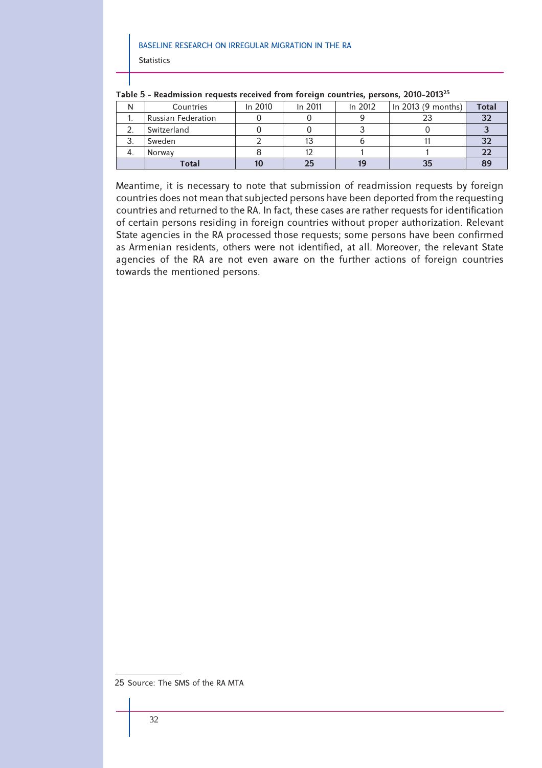N Countries In 2010 In 2011 In 2012 In 2013 (9 months) **Total** 1. Russian Federation 0 0 9 23 **32** 2. Switzerland 0 0 3 0 **3** 3. Sweden 2 13 6 11 **32** 4. Norway 8 12 1 1 **22 Total 10 25 19 35 89**

|  |  |  | Table 5 - Readmission requests received from foreign countries, persons, 2010-2013 <sup>25</sup> |  |  |
|--|--|--|--------------------------------------------------------------------------------------------------|--|--|
|--|--|--|--------------------------------------------------------------------------------------------------|--|--|

Meantime, it is necessary to note that submission of readmission requests by foreign countries does not mean that subjected persons have been deported from the requesting countries and returned to the RA. In fact, these cases are rather requests for identification of certain persons residing in foreign countries without proper authorization. Relevant State agencies in the RA processed those requests; some persons have been confirmed as Armenian residents, others were not identified, at all. Moreover, the relevant State agencies of the RA are not even aware on the further actions of foreign countries towards the mentioned persons.

<sup>25</sup> Source: The SMS of the RA MTA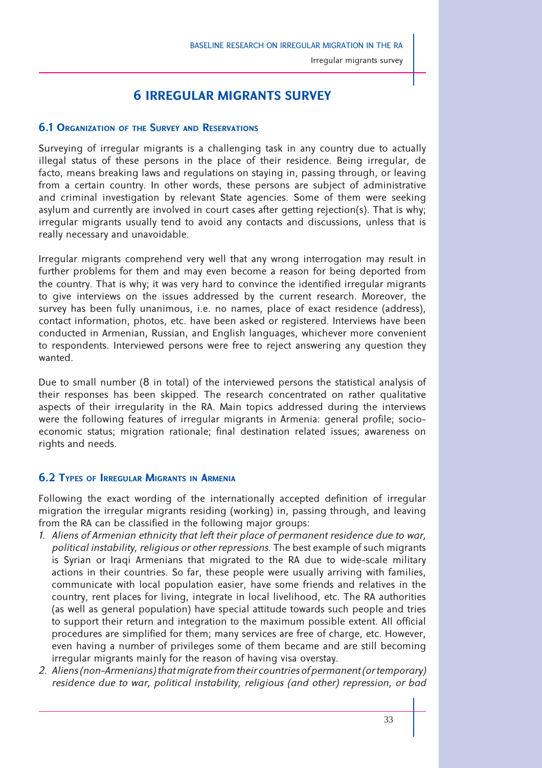Irregular migrants survey

# **6 IRREGULAR MIGRANTS SURVEY**

# **6.1 ORGANIZATION OF THE SURVEY AND RESERVATIONS**

Surveying of irregular migrants is a challenging task in any country due to actually illegal status of these persons in the place of their residence. Being irregular, de facto, means breaking laws and regulations on staying in, passing through, or leaving from a certain country. In other words, these persons are subject of administrative and criminal investigation by relevant State agencies. Some of them were seeking asylum and currently are involved in court cases after getting rejection(s). That is why; irregular migrants usually tend to avoid any contacts and discussions, unless that is really necessary and unavoidable.

Irregular migrants comprehend very well that any wrong interrogation may result in further problems for them and may even become a reason for being deported from the country. That is why; it was very hard to convince the identified irregular migrants to give interviews on the issues addressed by the current research. Moreover, the survey has been fully unanimous, i.e. no names, place of exact residence (address), contact information, photos, etc. have been asked or registered. Interviews have been conducted in Armenian, Russian, and English languages, whichever more convenient to respondents. Interviewed persons were free to reject answering any question they wanted.

Due to small number (8 in total) of the interviewed persons the statistical analysis of their responses has been skipped. The research concentrated on rather qualitative aspects of their irregularity in the RA. Main topics addressed during the interviews were the following features of irregular migrants in Armenia: general profile; socioeconomic status; migration rationale; final destination related issues; awareness on rights and needs.

# **6.2 TYPES OF IRREGULAR MIGRANTS IN ARMENIA**

Following the exact wording of the internationally accepted definition of irregular migration the irregular migrants residing (working) in, passing through, and leaving from the RA can be classified in the following major groups:

- *1. Aliens of Armenian ethnicity that left their place of permanent residence due to war, political instability, religious or other repressions*. The best example of such migrants is Syrian or Iraqi Armenians that migrated to the RA due to wide-scale military actions in their countries. So far, these people were usually arriving with families, communicate with local population easier, have some friends and relatives in the country, rent places for living, integrate in local livelihood, etc. The RA authorities (as well as general population) have special attitude towards such people and tries to support their return and integration to the maximum possible extent. All official procedures are simplified for them; many services are free of charge, etc. However, even having a number of privileges some of them became and are still becoming irregular migrants mainly for the reason of having visa overstay.
- *2. Aliens (non-Armenians) that migrate from their countries of permanent (or temporary) residence due to war, political instability, religious (and other) repression, or bad*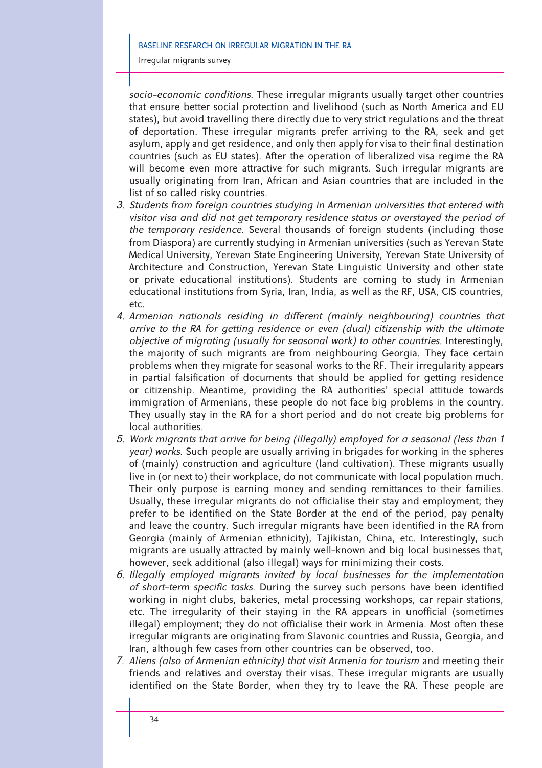Irregular migrants survey

*socio-economic conditions*. These irregular migrants usually target other countries that ensure better social protection and livelihood (such as North America and EU states), but avoid travelling there directly due to very strict regulations and the threat of deportation. These irregular migrants prefer arriving to the RA, seek and get asylum, apply and get residence, and only then apply for visa to their final destination countries (such as EU states). After the operation of liberalized visa regime the RA will become even more attractive for such migrants. Such irregular migrants are usually originating from Iran, African and Asian countries that are included in the list of so called risky countries.

- *3. Students from foreign countries studying in Armenian universities that entered with visitor visa and did not get temporary residence status or overstayed the period of the temporary residence*. Several thousands of foreign students (including those from Diaspora) are currently studying in Armenian universities (such as Yerevan State Medical University, Yerevan State Engineering University, Yerevan State University of Architecture and Construction, Yerevan State Linguistic University and other state or private educational institutions). Students are coming to study in Armenian educational institutions from Syria, Iran, India, as well as the RF, USA, CIS countries, etc.
- 4. Armenian nationals residing in different (mainly neighbouring) countries that *arrive to the RA for getting residence or even (dual) citizenship with the ultimate objective of migrating (usually for seasonal work) to other countries.* Interestingly, the majority of such migrants are from neighbouring Georgia. They face certain problems when they migrate for seasonal works to the RF. Their irregularity appears in partial falsification of documents that should be applied for getting residence or citizenship. Meantime, providing the RA authorities' special attitude towards immigration of Armenians, these people do not face big problems in the country. They usually stay in the RA for a short period and do not create big problems for local authorities.
- *5. Work migrants that arrive for being (illegally) employed for a seasonal (less than 1 year) works*. Such people are usually arriving in brigades for working in the spheres of (mainly) construction and agriculture (land cultivation). These migrants usually live in (or next to) their workplace, do not communicate with local population much. Their only purpose is earning money and sending remittances to their families. Usually, these irregular migrants do not officialise their stay and employment; they prefer to be identified on the State Border at the end of the period, pay penalty and leave the country. Such irregular migrants have been identified in the RA from Georgia (mainly of Armenian ethnicity), Tajikistan, China, etc. Interestingly, such migrants are usually attracted by mainly well-known and big local businesses that, however, seek additional (also illegal) ways for minimizing their costs.
- *6. Illegally employed migrants invited by local businesses for the implementation of short-term specific tasks*. During the survey such persons have been identified working in night clubs, bakeries, metal processing workshops, car repair stations, etc. The irregularity of their staying in the RA appears in unofficial (sometimes illegal) employment; they do not officialise their work in Armenia. Most often these irregular migrants are originating from Slavonic countries and Russia, Georgia, and Iran, although few cases from other countries can be observed, too.
- *7. Aliens (also of Armenian ethnicity) that visit Armenia for tourism* and meeting their friends and relatives and overstay their visas. These irregular migrants are usually identified on the State Border, when they try to leave the RA. These people are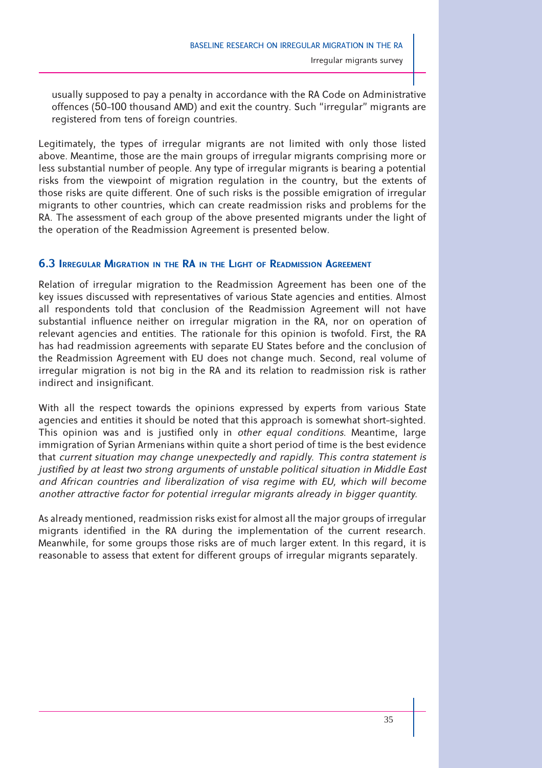usually supposed to pay a penalty in accordance with the RA Code on Administrative offences (50-100 thousand AMD) and exit the country. Such "irregular" migrants are registered from tens of foreign countries.

Legitimately, the types of irregular migrants are not limited with only those listed above. Meantime, those are the main groups of irregular migrants comprising more or less substantial number of people. Any type of irregular migrants is bearing a potential risks from the viewpoint of migration regulation in the country, but the extents of those risks are quite different. One of such risks is the possible emigration of irregular migrants to other countries, which can create readmission risks and problems for the RA. The assessment of each group of the above presented migrants under the light of the operation of the Readmission Agreement is presented below.

# **6.3 IRREGULAR MIGRATION IN THE RA IN THE LIGHT OF READMISSION AGREEMENT**

Relation of irregular migration to the Readmission Agreement has been one of the key issues discussed with representatives of various State agencies and entities. Almost all respondents told that conclusion of the Readmission Agreement will not have substantial influence neither on irregular migration in the RA, nor on operation of relevant agencies and entities. The rationale for this opinion is twofold. First, the RA has had readmission agreements with separate EU States before and the conclusion of the Readmission Agreement with EU does not change much. Second, real volume of irregular migration is not big in the RA and its relation to readmission risk is rather indirect and insignificant.

With all the respect towards the opinions expressed by experts from various State agencies and entities it should be noted that this approach is somewhat short-sighted. This opinion was and is justified only in *other equal conditions*. Meantime, large immigration of Syrian Armenians within quite a short period of time is the best evidence that *current situation may change unexpectedly and rapidly*. *This contra statement is justified by at least two strong arguments of unstable political situation in Middle East and African countries and liberalization of visa regime with EU, which will become another attractive factor for potential irregular migrants already in bigger quantity*.

As already mentioned, readmission risks exist for almost all the major groups of irregular migrants identified in the RA during the implementation of the current research. Meanwhile, for some groups those risks are of much larger extent. In this regard, it is reasonable to assess that extent for different groups of irregular migrants separately.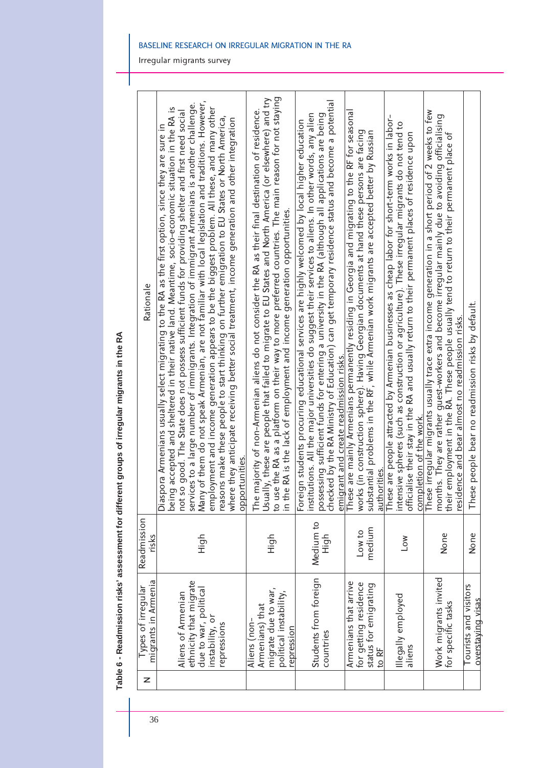Table 6 - Readmission risks' assessment for different groups of irregular migrants in the RA **Table 6 - Readmission risks' assessment for different groups of irregular migrants in the RA**

| z | migrants in Armenia<br>Types of irregular                                                               | Readmission<br>risks | Rationale                                                                                                                                                                                                                                                                                                                                                                                                                                                                                                                                                                                                                                                                                                                                                                                                                                                  |
|---|---------------------------------------------------------------------------------------------------------|----------------------|------------------------------------------------------------------------------------------------------------------------------------------------------------------------------------------------------------------------------------------------------------------------------------------------------------------------------------------------------------------------------------------------------------------------------------------------------------------------------------------------------------------------------------------------------------------------------------------------------------------------------------------------------------------------------------------------------------------------------------------------------------------------------------------------------------------------------------------------------------|
|   | ethnicity that migrate<br>due to war, political<br>Aliens of Armenian<br>instability, or<br>repressions | High                 | Many of them do not speak Armenian, are not familiar with local legislation and traditions. However,<br>services to a large number of immigrants. Integration of immigrant Armenians is another challenge.<br>employment and income generation appears to be the biggest problem. All these, and many other<br>being accepted and sheltered in their native land. Meantime, socio-economic situation in the RA is<br>so good. The State does not possess sufficient funds for providing shelter and first need social<br>reasons make these people to start thinking on further emigration to EU States or North America,<br>where they anticipate receiving better social treatment, income generation and other integration<br>Diaspora Armenians usually select migrating to the RA as the first option, since they are sure in<br>opportunities<br>not |
|   | migrate due to war,<br>political instability,<br>Armenians) that<br>Aliens (non-<br>repression          | High                 | use the RA as a platform on their way to more preferred countries. The main reason for not staying<br>Usually, these are people that failed to migrate to EU States and North America (or elsewhere) and try<br>The majority of non-Armenian aliens do not consider the RA as their final destination of residence.<br>the RA is the lack of employment and income generation opportunities.<br>$\frac{1}{2}$<br>$\overline{a}$                                                                                                                                                                                                                                                                                                                                                                                                                            |
|   | Students from foreign<br>countries                                                                      | Medium to<br>High    | checked by the RA Ministry of Education) can get temporary residence status and become a potential<br>institutions. All the major universities do suggest their services to aliens. In other words, any alien<br>possessing sufficient funds for entering a university in the RA (although all applications are being<br>Foreign students procuring educational services are highly welcomed by local higher education<br>emigrant and create readmission risks.                                                                                                                                                                                                                                                                                                                                                                                           |
|   | Armenians that arrive<br>for getting residence<br>status for emigrating<br>to RF                        | medium<br>Low to     | These are mainly Armenians permanently residing in Georgia and migrating to the RF for seasona<br>works (in construction sphere). Having Georgian documents at hand these persons are facing<br>substantial problems in the RF, while Armenian work migrants are accepted better by Russian<br>authorities                                                                                                                                                                                                                                                                                                                                                                                                                                                                                                                                                 |
|   | lllegally employed<br>aliens                                                                            | Low                  | These are people attracted by Armenian businesses as cheap labor for short-term works in labor-<br>intensive spheres (such as construction or agriculture). These irregular migrants do not tend to<br>officialise their stay in the RA and usually return to their permanent places of residence upon<br>completion of the work.                                                                                                                                                                                                                                                                                                                                                                                                                                                                                                                          |
|   | Work migrants invited<br>for specific tasks                                                             | None                 | These irregular migrants usually trace extra income generation in a short period of 2 weeks to few<br>months. They are rather guest-workers and become irregular mainly due to avoiding officialising<br>their employment in the RA. These people usually tend to return to their permanent place of<br>residence and bear almost no readmission risks.                                                                                                                                                                                                                                                                                                                                                                                                                                                                                                    |
|   | Tourists and visitors<br>overstaying visas                                                              | None                 | These people bear no readmission risks by default.                                                                                                                                                                                                                                                                                                                                                                                                                                                                                                                                                                                                                                                                                                                                                                                                         |

Irregular migrants survey

BASELINE RESEARCH ON IRREGULAR MIGRATION IN THE RA

36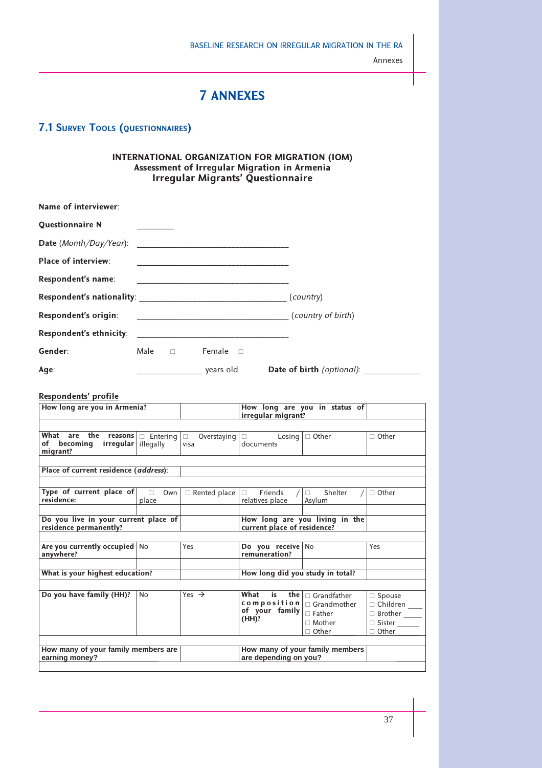# **7 ANNEXES**

# **7.1 SURVEY TOOLS (QUESTIONNAIRES)**

#### **INTERNATIONAL ORGANIZATION FOR MIGRATION (IOM) Assessment of Irregular Migration in Armenia Irregular Migrants' Questionnaire**

| Name of interviewer:       |                |                                                                                           |                                  |
|----------------------------|----------------|-------------------------------------------------------------------------------------------|----------------------------------|
| <b>Questionnaire N</b>     |                |                                                                                           |                                  |
| Date (Month/Day/Year):     |                |                                                                                           |                                  |
| <b>Place of interview:</b> |                |                                                                                           |                                  |
| Respondent's name:         |                |                                                                                           |                                  |
|                            |                |                                                                                           | (country)                        |
| Respondent's origin:       |                |                                                                                           | (country of birth)               |
| Respondent's ethnicity:    |                | the control of the control of the control of the control of the control of the control of |                                  |
| Gender:                    | Male $\square$ | Female $\Box$                                                                             |                                  |
| Age:                       |                | years old                                                                                 | <b>Date of birth</b> (optional): |

#### **Respondents' profile**

| How long are you in Armenia?                                                                                                        |           |                   | irregular migrant?                                                        | How long are you in status of                                                 |                                                                                 |
|-------------------------------------------------------------------------------------------------------------------------------------|-----------|-------------------|---------------------------------------------------------------------------|-------------------------------------------------------------------------------|---------------------------------------------------------------------------------|
|                                                                                                                                     |           |                   |                                                                           |                                                                               |                                                                                 |
| <b>What are the reasons</b> $\boxed{\square}$ Entering $\boxed{\square}$ Overstaying<br>of becoming irregular illegally<br>migrant? |           | visa              | $\Box$ Losing $\Box$ Other<br>documents                                   |                                                                               | $\Box$ Other                                                                    |
| Place of current residence (address):                                                                                               |           |                   |                                                                           |                                                                               |                                                                                 |
|                                                                                                                                     |           |                   |                                                                           |                                                                               |                                                                                 |
| Type of current place of $\Box$ Own $\Box$ Rented place<br>residence:                                                               | place     |                   | $\Box$ Friends<br>relatives place                                         | $/ \Box$ Shelter<br>Asylum                                                    | $\Box$ Other                                                                    |
|                                                                                                                                     |           |                   |                                                                           |                                                                               |                                                                                 |
| Do you live in your current place of<br>residence permanently?                                                                      |           |                   | current place of residence?                                               | How long are you living in the                                                |                                                                                 |
|                                                                                                                                     |           |                   |                                                                           |                                                                               |                                                                                 |
| Are you currently occupied   No<br>anywhere?                                                                                        |           | <b>Yes</b>        | Do you receive No<br>remuneration?                                        |                                                                               | Yes                                                                             |
| What is your highest education?                                                                                                     |           |                   | How long did you study in total?                                          |                                                                               |                                                                                 |
|                                                                                                                                     |           |                   |                                                                           |                                                                               |                                                                                 |
| Do you have family (HH)?                                                                                                            | <b>No</b> | Yes $\rightarrow$ | What<br>composition $\vert$ $\Box$ Grandmother<br>of your family<br>(HH)? | is the $\Box$ Grandfather<br>$\Box$ Father<br>$\sqcap$ Mother<br>$\Box$ Other | $\Box$ Spouse<br>□ Children<br>□ Brother _____<br>$\Box$ Sister<br>$\Box$ Other |
| How many of your family members are<br>earning money?                                                                               |           |                   | are depending on you?                                                     | How many of your family members                                               |                                                                                 |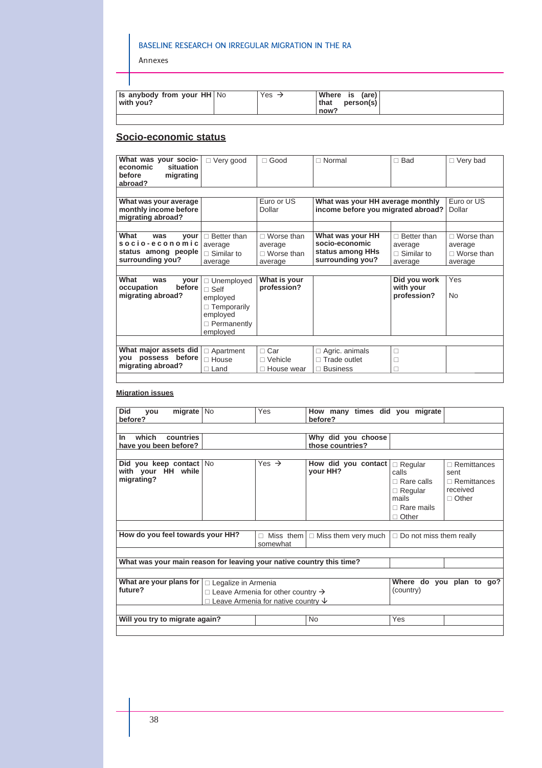Annexes

I

| <b>Is anybody from your HH No</b><br>with you? | Yes $\rightarrow$ | Where is (are)<br>person(s)<br>that<br>now? |  |
|------------------------------------------------|-------------------|---------------------------------------------|--|
|                                                |                   |                                             |  |

# **Socio-economic status**

| What was your socio-    | $\Box$ Very good   | $\Box$ Good       | $\sqcap$ Normal                    | $\Box$ Bad         | $\Box$ Very bad   |
|-------------------------|--------------------|-------------------|------------------------------------|--------------------|-------------------|
| economic<br>situation   |                    |                   |                                    |                    |                   |
| before<br>migrating     |                    |                   |                                    |                    |                   |
| abroad?                 |                    |                   |                                    |                    |                   |
|                         |                    |                   |                                    |                    |                   |
| What was your average   |                    | Euro or US        | What was your HH average monthly   |                    | Euro or US        |
| monthly income before   |                    | Dollar            | income before you migrated abroad? |                    | Dollar            |
| migrating abroad?       |                    |                   |                                    |                    |                   |
|                         |                    |                   |                                    |                    |                   |
| What<br>was<br>vour     | $\Box$ Better than | $\Box$ Worse than | What was your HH                   | $\Box$ Better than | $\Box$ Worse than |
| socio-economic          | average            | average           | socio-economic                     | average            | average           |
| status among people     | $\Box$ Similar to  | $\Box$ Worse than | status among HHs                   | $\Box$ Similar to  | $\Box$ Worse than |
| surrounding you?        | average            | average           | surrounding you?                   | average            | average           |
|                         |                    |                   |                                    |                    |                   |
| What<br>was<br>vour     | $\Box$ Unemployed  | What is your      |                                    | Did you work       | Yes               |
| before<br>occupation    | $\Box$ Self        | profession?       |                                    | with your          |                   |
| migrating abroad?       | employed           |                   |                                    | profession?        | <b>No</b>         |
|                         | $\Box$ Temporarily |                   |                                    |                    |                   |
|                         | employed           |                   |                                    |                    |                   |
|                         | $\Box$ Permanently |                   |                                    |                    |                   |
|                         | employed           |                   |                                    |                    |                   |
|                         |                    |                   |                                    |                    |                   |
| What major assets did   | $\Box$ Apartment   | $\Box$ Car        | $\Box$ Agric. animals              | $\Box$             |                   |
| you possess before      | $\Box$ House       | $\Box$ Vehicle    | $\Box$ Trade outlet                | □                  |                   |
| migrating abroad?       | □ Land             | □ House wear      | <b>Business</b>                    | $\Box$             |                   |
|                         |                    |                   |                                    |                    |                   |
|                         |                    |                   |                                    |                    |                   |
| <b>Migration issues</b> |                    |                   |                                    |                    |                   |

| <b>Did</b><br>migrate   No<br>you<br>before?                         |                            | Yes                                                                                                    | How many times did you migrate<br>before?          |                                                                                            |                                                                              |
|----------------------------------------------------------------------|----------------------------|--------------------------------------------------------------------------------------------------------|----------------------------------------------------|--------------------------------------------------------------------------------------------|------------------------------------------------------------------------------|
|                                                                      |                            |                                                                                                        |                                                    |                                                                                            |                                                                              |
| which<br>In<br>countries<br>have you been before?                    |                            |                                                                                                        | Why did you choose<br>those countries?             |                                                                                            |                                                                              |
|                                                                      |                            |                                                                                                        |                                                    |                                                                                            |                                                                              |
| Did you keep contact No<br>with your HH while<br>migrating?          |                            | Yes $\rightarrow$                                                                                      | How did you contact   Regular<br>your HH?          | calls<br>$\Box$ Rare calls<br>$\Box$ Regular<br>mails<br>$\Box$ Rare mails<br>$\Box$ Other | $\Box$ Remittances<br>sent<br>$\Box$ Remittances<br>received<br>$\Box$ Other |
|                                                                      |                            |                                                                                                        |                                                    |                                                                                            |                                                                              |
| How do you feel towards your HH?                                     |                            | somewhat                                                                                               | $\Box$ Miss them $\Box$ Miss them very much $\Box$ | $\Box$ Do not miss them really                                                             |                                                                              |
|                                                                      |                            |                                                                                                        |                                                    |                                                                                            |                                                                              |
| What was your main reason for leaving your native country this time? |                            |                                                                                                        |                                                    |                                                                                            |                                                                              |
|                                                                      |                            |                                                                                                        |                                                    |                                                                                            |                                                                              |
| What are your plans for<br>future?                                   | $\Box$ Legalize in Armenia | $\Box$ Leave Armenia for other country $\rightarrow$<br>$\Box$ Leave Armenia for native country $\psi$ | (country)                                          | Where do you plan to go?                                                                   |                                                                              |
|                                                                      |                            |                                                                                                        |                                                    |                                                                                            |                                                                              |
| Will you try to migrate again?                                       |                            |                                                                                                        | <b>No</b>                                          | Yes                                                                                        |                                                                              |
|                                                                      |                            |                                                                                                        |                                                    |                                                                                            |                                                                              |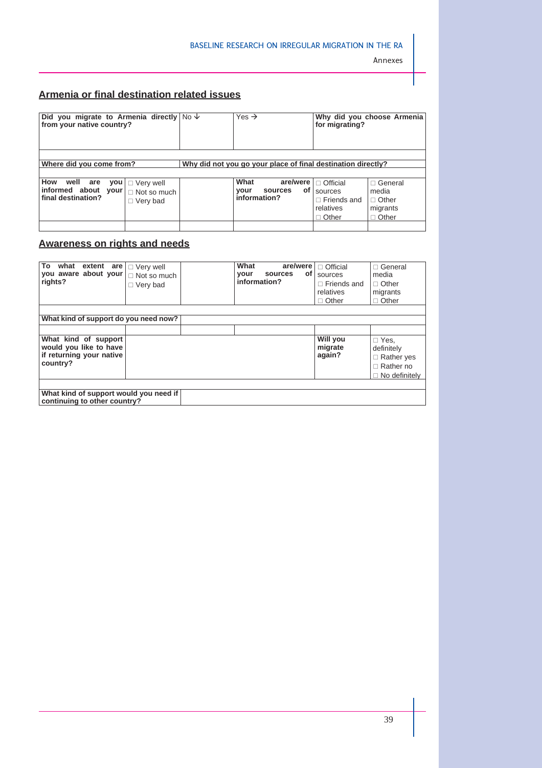# **Armenia or final destination related issues**

| Did you migrate to Armenia directly $N_0 \psi$<br>from your native country? |                                                                                | Yes $\rightarrow$                                             | for migrating?                                                                | Why did you choose Armenia                                          |
|-----------------------------------------------------------------------------|--------------------------------------------------------------------------------|---------------------------------------------------------------|-------------------------------------------------------------------------------|---------------------------------------------------------------------|
| Where did you come from?                                                    |                                                                                | Why did not you go your place of final destination directly?  |                                                                               |                                                                     |
| How well are<br>informed about your<br>final destination?                   | $\mathsf{you} \mid \square$ Very well<br>$\Box$ Not so much<br>$\Box$ Very bad | What<br>are/were  <br>of l<br>your<br>sources<br>information? | $\Box$ Official<br>sources<br>$\Box$ Friends and<br>relatives<br>$\Box$ Other | $\Box$ General<br>media<br>$\Box$ Other<br>migrants<br>$\Box$ Other |

# **Awareness on rights and needs**

| То<br>what extent are $\vert \Box$ Very well<br>you aware about your<br>rights?        | $\Box$ Not so much<br>$\Box$ Very bad |  | What<br>sources<br>your<br>information? | are/were<br>оf | $\Box$ Official<br>sources<br>$\Box$ Friends and<br>relatives<br>$\Box$ Other | $\sqcap$ General<br>media<br>$\Box$ Other<br>migrants<br>$\Box$ Other                      |
|----------------------------------------------------------------------------------------|---------------------------------------|--|-----------------------------------------|----------------|-------------------------------------------------------------------------------|--------------------------------------------------------------------------------------------|
| What kind of support do you need now?                                                  |                                       |  |                                         |                |                                                                               |                                                                                            |
|                                                                                        |                                       |  |                                         |                |                                                                               |                                                                                            |
| What kind of support<br>would you like to have<br>if returning your native<br>country? |                                       |  |                                         |                | Will you<br>migrate<br>again?                                                 | $\Box$ Yes,<br>definitely<br>$\Box$ Rather yes<br>$\Box$ Rather no<br>$\Box$ No definitely |
|                                                                                        |                                       |  |                                         |                |                                                                               |                                                                                            |
| What kind of support would you need if<br>continuing to other country?                 |                                       |  |                                         |                |                                                                               |                                                                                            |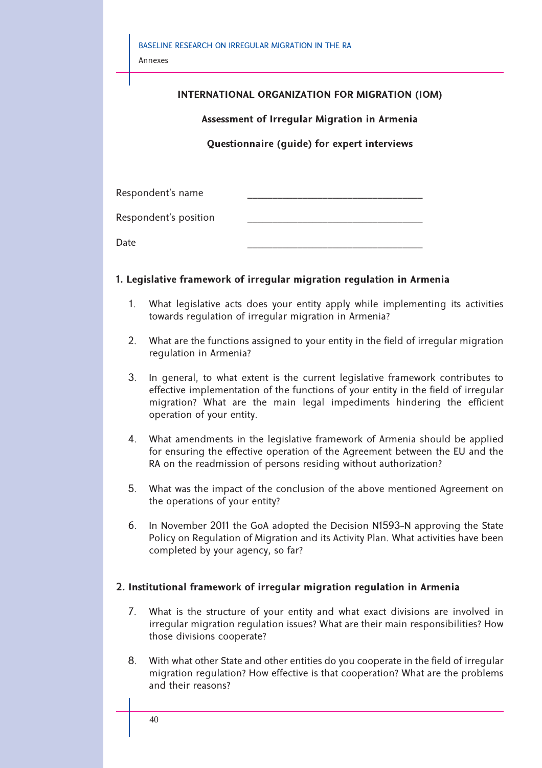| BASELINE RESEARCH ON IRREGULAR MIGRATION IN THE RA<br>Annexes |                                                |
|---------------------------------------------------------------|------------------------------------------------|
|                                                               | INTERNATIONAL ORGANIZATION FOR MIGRATION (IOM) |
|                                                               | Assessment of Irregular Migration in Armenia   |
|                                                               | Questionnaire (guide) for expert interviews    |
|                                                               |                                                |
| Respondent's name                                             |                                                |
| Respondent's position                                         |                                                |
| Date                                                          |                                                |
|                                                               |                                                |

# **1. Legislative framework of irregular migration regulation in Armenia**

- 1. What legislative acts does your entity apply while implementing its activities towards regulation of irregular migration in Armenia?
- 2. What are the functions assigned to your entity in the field of irregular migration regulation in Armenia?
- 3. In general, to what extent is the current legislative framework contributes to effective implementation of the functions of your entity in the field of irregular migration? What are the main legal impediments hindering the efficient operation of your entity.
- 4. What amendments in the legislative framework of Armenia should be applied for ensuring the effective operation of the Agreement between the EU and the RA on the readmission of persons residing without authorization?
- 5. What was the impact of the conclusion of the above mentioned Agreement on the operations of your entity?
- 6. In November 2011 the GoA adopted the Decision N1593-N approving the State Policy on Regulation of Migration and its Activity Plan. What activities have been completed by your agency, so far?

# **2. Institutional framework of irregular migration regulation in Armenia**

- 7. What is the structure of your entity and what exact divisions are involved in irregular migration regulation issues? What are their main responsibilities? How those divisions cooperate?
- 8. With what other State and other entities do you cooperate in the field of irregular migration regulation? How effective is that cooperation? What are the problems and their reasons?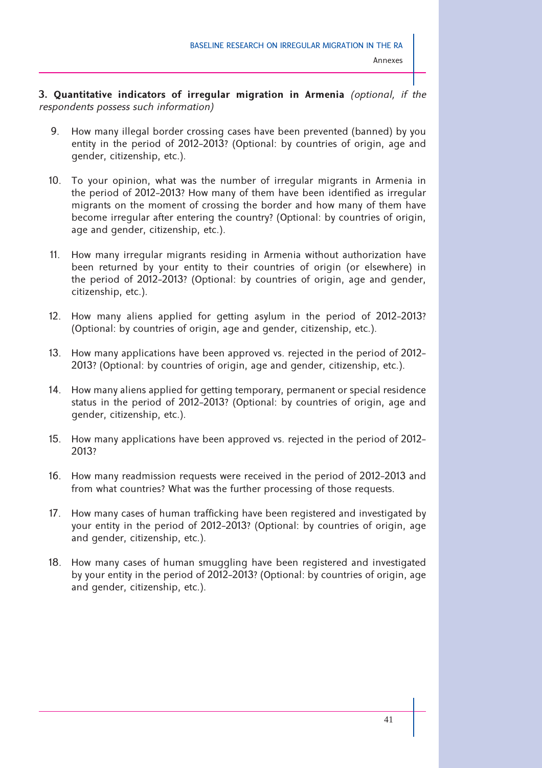**3. Quantitative indicators of irregular migration in Armenia** *(optional, if the respondents possess such information)*

- 9. How many illegal border crossing cases have been prevented (banned) by you entity in the period of 2012-2013? (Optional: by countries of origin, age and gender, citizenship, etc.).
- 10. To your opinion, what was the number of irregular migrants in Armenia in the period of 2012-2013? How many of them have been identified as irregular migrants on the moment of crossing the border and how many of them have become irregular after entering the country? (Optional: by countries of origin, age and gender, citizenship, etc.).
- 11. How many irregular migrants residing in Armenia without authorization have been returned by your entity to their countries of origin (or elsewhere) in the period of 2012-2013? (Optional: by countries of origin, age and gender, citizenship, etc.).
- 12. How many aliens applied for getting asylum in the period of 2012-2013? (Optional: by countries of origin, age and gender, citizenship, etc.).
- 13. How many applications have been approved vs. rejected in the period of 2012- 2013? (Optional: by countries of origin, age and gender, citizenship, etc.).
- 14. How many aliens applied for getting temporary, permanent or special residence status in the period of 2012-2013? (Optional: by countries of origin, age and gender, citizenship, etc.).
- 15. How many applications have been approved vs. rejected in the period of 2012- 2013?
- 16. How many readmission requests were received in the period of 2012-2013 and from what countries? What was the further processing of those requests.
- 17. How many cases of human trafficking have been registered and investigated by your entity in the period of 2012-2013? (Optional: by countries of origin, age and gender, citizenship, etc.).
- 18. How many cases of human smuggling have been registered and investigated by your entity in the period of 2012-2013? (Optional: by countries of origin, age and gender, citizenship, etc.).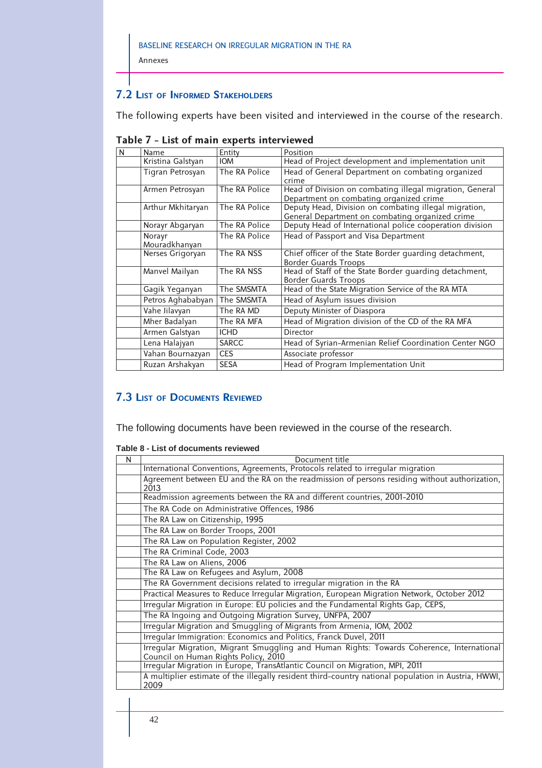**7.2 LIST OF INFORMED STAKEHOLDERS**

Annexes

The following experts have been visited and interviewed in the course of the research.

| N | Name                    | Entity        | Position                                                                                                 |
|---|-------------------------|---------------|----------------------------------------------------------------------------------------------------------|
|   | Kristina Galstyan       | <b>IOM</b>    | Head of Project development and implementation unit                                                      |
|   | Tigran Petrosyan        | The RA Police | Head of General Department on combating organized<br>crime                                               |
|   | Armen Petrosyan         | The RA Police | Head of Division on combating illegal migration, General<br>Department on combating organized crime      |
|   | Arthur Mkhitaryan       | The RA Police | Deputy Head, Division on combating illegal migration,<br>General Department on combating organized crime |
|   | Norayr Abgaryan         | The RA Police | Deputy Head of International police cooperation division                                                 |
|   | Norayr<br>Mouradkhanyan | The RA Police | Head of Passport and Visa Department                                                                     |
|   | Nerses Grigoryan        | The RA NSS    | Chief officer of the State Border guarding detachment,<br><b>Border Guards Troops</b>                    |
|   | Manvel Mailyan          | The RA NSS    | Head of Staff of the State Border quarding detachment,<br><b>Border Guards Troops</b>                    |
|   | Gagik Yeganyan          | The SMSMTA    | Head of the State Migration Service of the RA MTA                                                        |
|   | Petros Aghababyan       | The SMSMTA    | Head of Asylum issues division                                                                           |
|   | Vahe Jilavyan           | The RA MD     | Deputy Minister of Diaspora                                                                              |
|   | Mher Badalyan           | The RA MFA    | Head of Migration division of the CD of the RA MFA                                                       |
|   | Armen Galstyan          | <b>ICHD</b>   | Director                                                                                                 |
|   | Lena Halajyan           | <b>SARCC</b>  | Head of Syrian-Armenian Relief Coordination Center NGO                                                   |
|   | Vahan Bournazyan        | <b>CES</b>    | Associate professor                                                                                      |
|   | Ruzan Arshakyan         | <b>SESA</b>   | Head of Program Implementation Unit                                                                      |

|  |  |  |  | Table 7 - List of main experts interviewed |
|--|--|--|--|--------------------------------------------|
|--|--|--|--|--------------------------------------------|

# **7.3 LIST OF DOCUMENTS REVIEWED**

The following documents have been reviewed in the course of the research.

|  |  |  |  |  | Table 8 - List of documents reviewed |  |
|--|--|--|--|--|--------------------------------------|--|
|--|--|--|--|--|--------------------------------------|--|

| N | Document title                                                                                                                    |
|---|-----------------------------------------------------------------------------------------------------------------------------------|
|   | International Conventions, Agreements, Protocols related to irregular migration                                                   |
|   | Agreement between EU and the RA on the readmission of persons residing without authorization,<br>2013                             |
|   | Readmission agreements between the RA and different countries, 2001-2010                                                          |
|   | The RA Code on Administrative Offences, 1986                                                                                      |
|   | The RA Law on Citizenship, 1995                                                                                                   |
|   | The RA Law on Border Troops, 2001                                                                                                 |
|   | The RA Law on Population Register, 2002                                                                                           |
|   | The RA Criminal Code, 2003                                                                                                        |
|   | The RA Law on Aliens, 2006                                                                                                        |
|   | The RA Law on Refugees and Asylum, 2008                                                                                           |
|   | The RA Government decisions related to irregular migration in the RA                                                              |
|   | Practical Measures to Reduce Irregular Migration, European Migration Network, October 2012                                        |
|   | Irregular Migration in Europe: EU policies and the Fundamental Rights Gap, CEPS,                                                  |
|   | The RA Ingoing and Outgoing Migration Survey, UNFPA, 2007                                                                         |
|   | Irregular Migration and Smuggling of Migrants from Armenia, IOM, 2002                                                             |
|   | Irregular Immigration: Economics and Politics, Franck Duvel, 2011                                                                 |
|   | Irregular Migration, Migrant Smuggling and Human Rights: Towards Coherence, International<br>Council on Human Rights Policy, 2010 |
|   | Irregular Migration in Europe, TransAtlantic Council on Migration, MPI, 2011                                                      |
|   | A multiplier estimate of the illegally resident third-country national population in Austria, HWWI,<br>2009                       |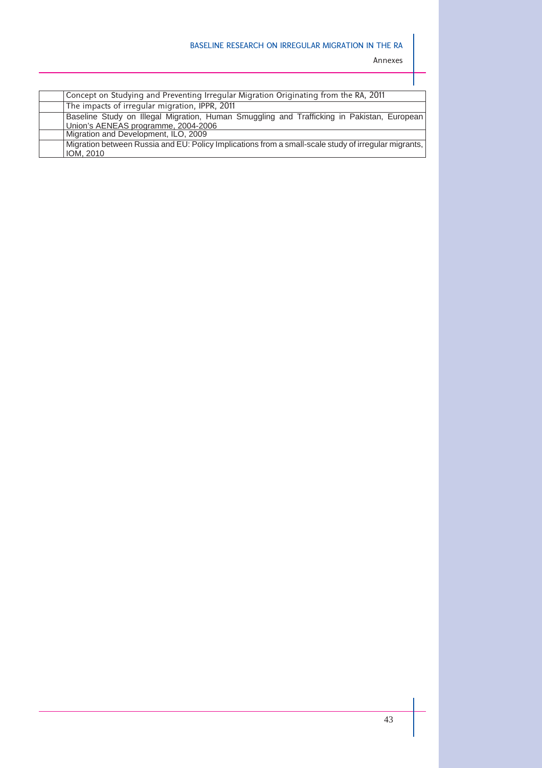Annexes

| Concept on Studying and Preventing Irregular Migration Originating from the RA, 2011                 |  |
|------------------------------------------------------------------------------------------------------|--|
| The impacts of irregular migration, IPPR, 2011                                                       |  |
| Baseline Study on Illegal Migration, Human Smuggling and Trafficking in Pakistan, European           |  |
| Union's AENEAS programme, 2004-2006                                                                  |  |
| Migration and Development, ILO, 2009                                                                 |  |
| Migration between Russia and EU: Policy Implications from a small-scale study of irregular migrants, |  |
| IOM, 2010                                                                                            |  |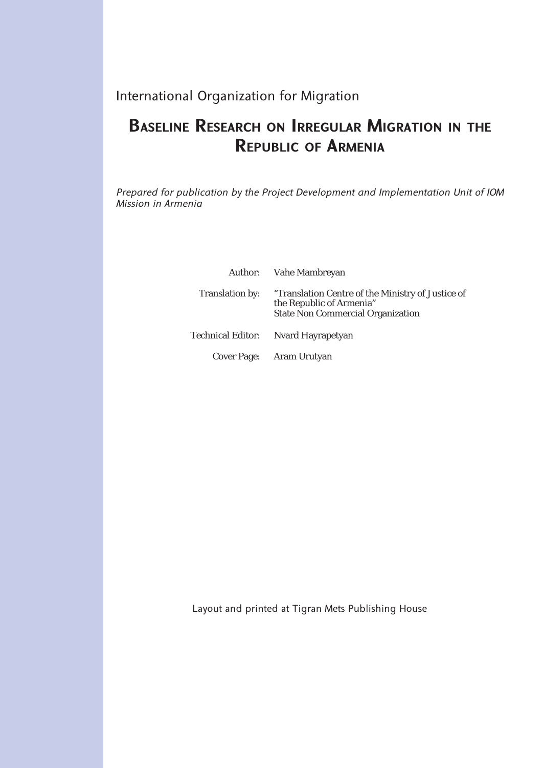International Organization for Migration

# **BASELINE RESEARCH ON IRREGULAR MIGRATION IN THE REPUBLIC OF ARMENIA**

*Prepared for publication by the Project Development and Implementation Unit of IOM Mission in Armenia*

|                 | Author: Vahe Mambreyan                                                                                                    |
|-----------------|---------------------------------------------------------------------------------------------------------------------------|
| Translation by: | "Translation Centre of the Ministry of Justice of<br>the Republic of Armenia"<br><b>State Non Commercial Organization</b> |
|                 | Technical Editor: Nvard Hayrapetyan                                                                                       |
|                 | Cover Page: Aram Urutyan                                                                                                  |

Layout and printed at Tigran Mets Publishing House